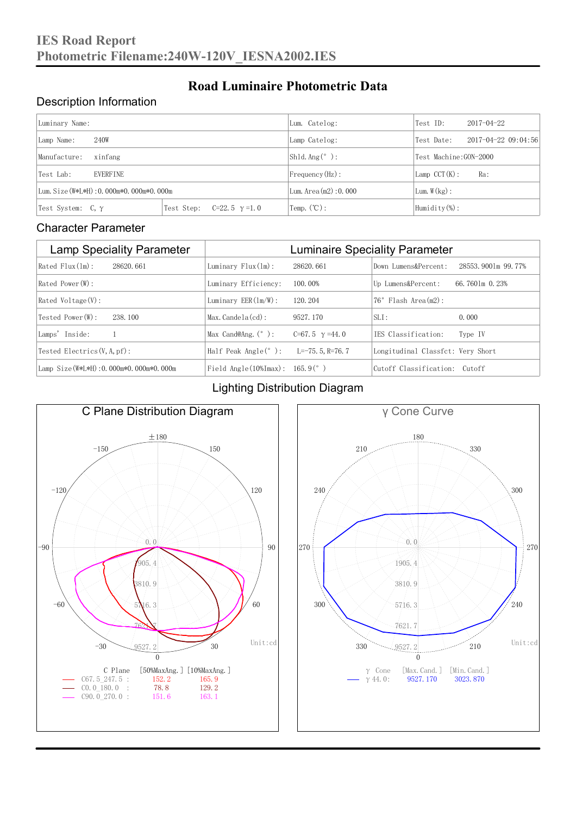### Description Information

| Luminary Name:                          |                                     | Lum. Catelog:                | Test ID:               | $2017 - 04 - 22$ |  |
|-----------------------------------------|-------------------------------------|------------------------------|------------------------|------------------|--|
| 240W<br>Lamp Name:                      | Lamp Catelog:                       | Test Date:                   | 2017-04-22 09:04:56    |                  |  |
| Manufacture:<br>xinfang                 |                                     | Shld. Ang $(^\circ)$ :       | Test Machine: GON-2000 |                  |  |
| <b>EVERFINE</b><br>Test Lab:            |                                     | $Frequency(Hz)$ :            | $Lamp$ CCT(K):         | Ra:              |  |
| Lum. Size (W*L*H): 0.000m*0.000m*0.000m |                                     | Lum. $Area(m2):0.000$        | Lum. $W(kg)$ :         |                  |  |
| Test System: $C, \gamma$                | Test Step:<br>$C=22.5$ $\gamma=1.0$ | $\text{Temp.} (\text{°C})$ : | Humidity $(\%)$ :      |                  |  |

**Road Luminaire Photometric Data**

#### Character Parameter

| <b>Lamp Speciality Parameter</b>       | <b>Luminaire Speciality Parameter</b>                               |                       |                                   |                    |  |
|----------------------------------------|---------------------------------------------------------------------|-----------------------|-----------------------------------|--------------------|--|
| Rated Flux(1m):<br>28620, 661          | Luminary $Flux(ln)$ :                                               | 28620, 661            | Down Lumens&Percent:              | 28553.9001m 99.77% |  |
| Rated Power (W):                       | Luminary Efficiency:                                                | 100.00%               | Up Lumens&Percent:                | 66.7601m 0.23%     |  |
| $Rated$ Voltage $(V)$ :                | Luminary $EER(\ln/W)$ :                                             | 120, 204              | $76°$ Flash Area $(m2)$ :         |                    |  |
| Tested Power (W):<br>238, 100          | $Max. Candela(cd)$ :                                                | 9527, 170             | $SLI$ :                           | 0.000              |  |
| Lamps' Inside:                         | Max Cand@Ang. $(°)$ :                                               | C=67.5 $\gamma$ =44.0 | IES Classification:               | Type IV            |  |
| Tested Electrics $(V, A, pf)$ :        | Half Peak Angle $(°)$ :                                             | L=-75. 5. R=76. 7     | Longitudinal Classfct: Very Short |                    |  |
| Lamp Size(W*L*H): 0.000m*0.000m*0.000m | Field Angle $(10\text{\%} \text{Im} \text{ax})$ : 165.9 $(^\circ$ ) |                       | Cutoff Classification: Cutoff     |                    |  |

### Lighting Distribution Diagram



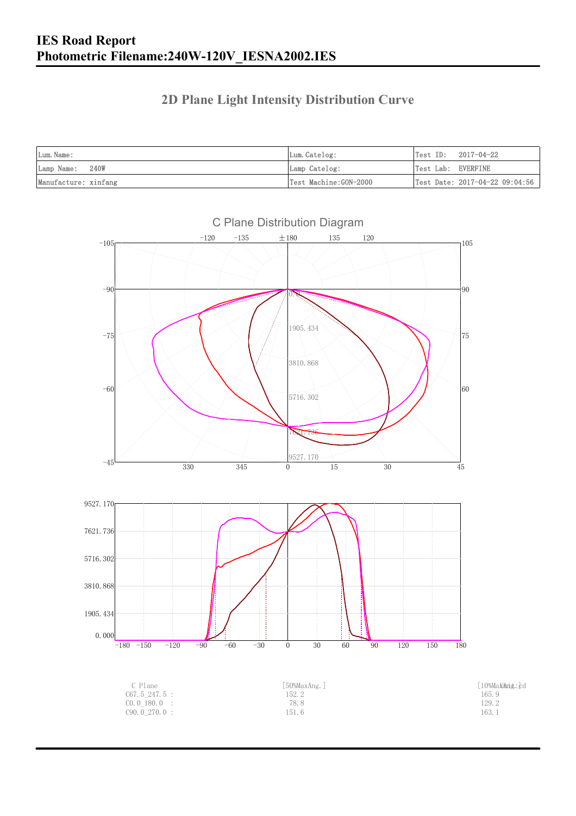### **2D Plane Light Intensity Distribution Curve**

| Lum. Name:           | Lum.Catelog:          | $Test ID: 2017-04-22$          |
|----------------------|-----------------------|--------------------------------|
| Lamp Name:<br>240W   | Lamp Catelog:         | Test Lab: EVERFINE             |
| Manufacture: xinfang | Test Machine:GON-2000 | Test Date: 2017-04-22 09:04:56 |



C Plane Distribution Diagram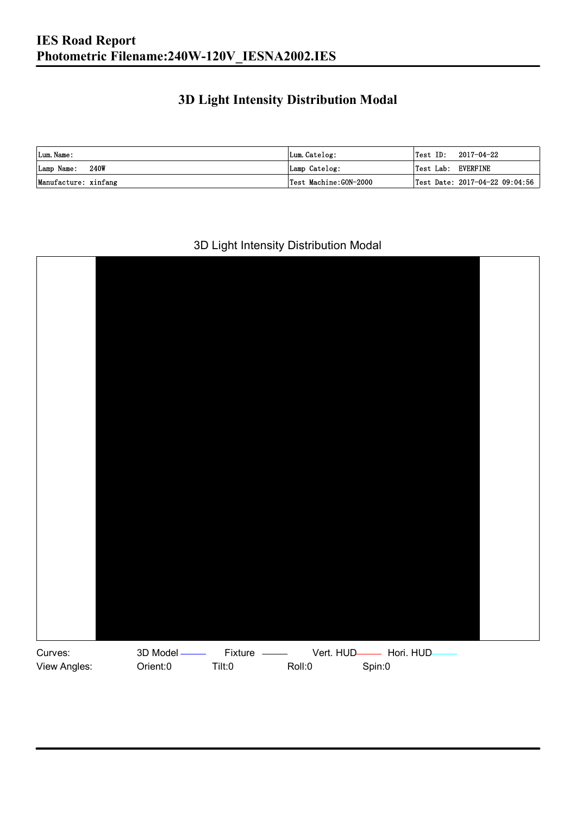## **3D Light Intensity Distribution Modal**

| Lum. Name:           | Lum.Catelog:          |                    | $\textsf{Test ID:} \quad 2017\text{--}04\text{--}22$ |
|----------------------|-----------------------|--------------------|------------------------------------------------------|
| Lamp Name: 240W      | Lamp Catelog:         | Test Lab: EVERFINE |                                                      |
| Manufacture: xinfang | Test Machine:GON-2000 |                    | Test Date: 2017-04-22 09:04:56                       |

#### 3D Light Intensity Distribution Modal

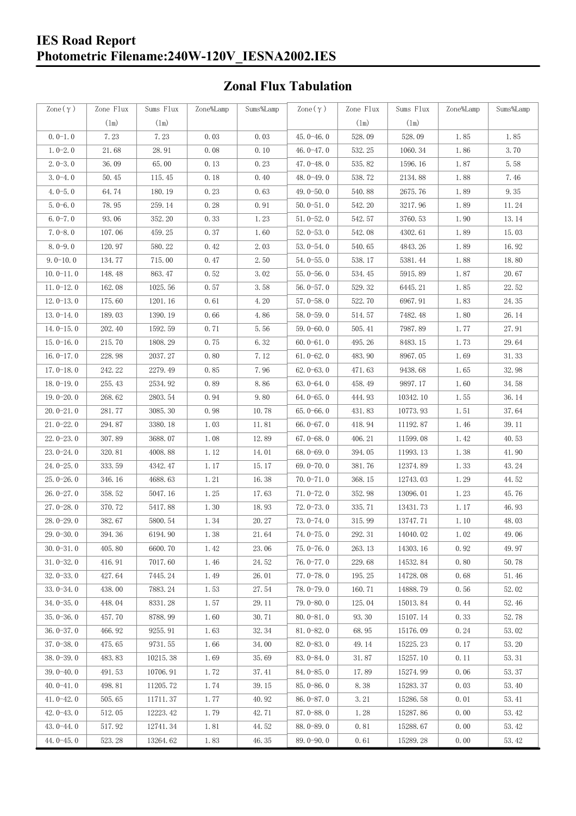#### **IES Road Report Photometric Filename:240W-120V\_IESNA2002.IES**

## **Zonal Flux Tabulation**

| Zone $(\gamma)$ | Zone Flux     | Sums Flux     | Zone%Lamp | Sums%Lamp | Zone $(\gamma)$ | Zone Flux     | Sums Flux | Zone%Lamp | Sums%Lamp |
|-----------------|---------------|---------------|-----------|-----------|-----------------|---------------|-----------|-----------|-----------|
|                 | $(\text{lm})$ | $(\text{lm})$ |           |           |                 | $(\text{lm})$ | (1m)      |           |           |
| $0.0-1.0$       | 7.23          | 7.23          | 0.03      | 0.03      | $45.0 - 46.0$   | 528.09        | 528.09    | 1.85      | 1.85      |
| $1.0 - 2.0$     | 21.68         | 28.91         | 0.08      | 0.10      | 46.0 $-47.0$    | 532.25        | 1060.34   | 1.86      | 3.70      |
| $2.0 - 3.0$     | 36.09         | 65.00         | 0.13      | 0.23      | $47.0 - 48.0$   | 535.82        | 1596.16   | 1.87      | 5.58      |
| $3.0 - 4.0$     | 50.45         | 115.45        | 0.18      | 0.40      | 48.0-49.0       | 538.72        | 2134.88   | 1.88      | 7.46      |
| $4.0 - 5.0$     | 64.74         | 180.19        | 0.23      | 0.63      | 49.0 $-50.0$    | 540.88        | 2675.76   | 1.89      | 9.35      |
| $5.0 - 6.0$     | 78.95         | 259.14        | 0.28      | 0.91      | $50.0 - 51.0$   | 542.20        | 3217.96   | 1.89      | 11.24     |
| $6.0 - 7.0$     | 93.06         | 352.20        | 0.33      | 1.23      | $51.0 - 52.0$   | 542.57        | 3760.53   | 1.90      | 13.14     |
| $7.0 - 8.0$     | 107.06        | 459.25        | 0.37      | 1.60      | $52.0 - 53.0$   | 542.08        | 4302.61   | 1.89      | 15.03     |
| $8.0 - 9.0$     | 120.97        | 580.22        | 0.42      | 2.03      | $53.0 - 54.0$   | 540.65        | 4843.26   | 1.89      | 16.92     |
| $9.0 - 10.0$    | 134.77        | 715.00        | 0.47      | 2.50      | $54.0 - 55.0$   | 538.17        | 5381.44   | 1.88      | 18.80     |
| $10.0 - 11.0$   | 148.48        | 863.47        | 0.52      | 3.02      | $55.0 - 56.0$   | 534.45        | 5915.89   | 1.87      | 20.67     |
| $11.0 - 12.0$   | 162.08        | 1025.56       | 0.57      | 3.58      | $56.0 - 57.0$   | 529.32        | 6445.21   | 1.85      | 22.52     |
| $12.0 - 13.0$   | 175.60        | 1201.16       | 0.61      | 4.20      | $57.0 - 58.0$   | 522.70        | 6967.91   | 1.83      | 24.35     |
| $13.0 - 14.0$   | 189.03        | 1390.19       | 0.66      | 4.86      | $58.0 - 59.0$   | 514.57        | 7482.48   | 1.80      | 26.14     |
| $14.0 - 15.0$   | 202.40        | 1592.59       | 0.71      | 5.56      | $59.0 - 60.0$   | 505.41        | 7987.89   | 1.77      | 27.91     |
| $15.0 - 16.0$   | 215.70        | 1808.29       | 0.75      | 6.32      | $60.0 - 61.0$   | 495.26        | 8483.15   | 1.73      | 29.64     |
| $16.0 - 17.0$   | 228.98        | 2037.27       | 0.80      | 7.12      | $61.0 - 62.0$   | 483.90        | 8967.05   | 1.69      | 31.33     |
| $17.0 - 18.0$   | 242.22        | 2279.49       | 0.85      | 7.96      | $62.0 - 63.0$   | 471.63        | 9438.68   | 1.65      | 32.98     |
| $18.0 - 19.0$   | 255.43        | 2534.92       | 0.89      | 8.86      | $63.0 - 64.0$   | 458.49        | 9897.17   | 1.60      | 34.58     |
| $19.0 - 20.0$   | 268.62        | 2803.54       | 0.94      | 9.80      | $64.0 - 65.0$   | 444.93        | 10342.10  | 1.55      | 36.14     |
| $20.0 - 21.0$   | 281.77        | 3085.30       | 0.98      | 10.78     | $65.0 - 66.0$   | 431.83        | 10773.93  | 1.51      | 37.64     |
| $21.0 - 22.0$   | 294.87        | 3380.18       | 1.03      | 11.81     | $66.0 - 67.0$   | 418.94        | 11192.87  | 1.46      | 39.11     |
| $22.0 - 23.0$   | 307.89        | 3688.07       | 1.08      | 12.89     | $67.0 - 68.0$   | 406.21        | 11599.08  | 1.42      | 40.53     |
| $23.0 - 24.0$   | 320.81        | 4008.88       | 1.12      | 14.01     | $68.0 - 69.0$   | 394.05        | 11993.13  | 1.38      | 41.90     |
| $24.0 - 25.0$   | 333.59        | 4342.47       | 1.17      | 15.17     | 69.0-70.0       | 381.76        | 12374.89  | 1.33      | 43.24     |
| $25.0 - 26.0$   | 346.16        | 4688.63       | 1.21      | 16.38     | $70.0 - 71.0$   | 368.15        | 12743.03  | 1.29      | 44.52     |
| $26.0 - 27.0$   | 358.52        | 5047.16       | 1.25      | 17.63     | $71.0 - 72.0$   | 352.98        | 13096.01  | 1.23      | 45.76     |
| $27.0 - 28.0$   | 370.72        | 5417.88       | 1.30      | 18.93     | $72.0 - 73.0$   | 335.71        | 13431.73  | 1.17      | 46.93     |
| 28.0-29.0       | 382.67        | 5800.54       | 1.34      | 20.27     | $73.0 - 74.0$   | 315.99        | 13747.71  | 1.10      | 48.03     |
| 29.0-30.0       | 394.36        | 6194.90       | 1.38      | 21.64     | 74.0-75.0       | 292.31        | 14040.02  | $1.02\,$  | 49.06     |
| $30.0 - 31.0$   | 405.80        | 6600.70       | 1.42      | 23.06     | $75.0 - 76.0$   | 263.13        | 14303.16  | 0.92      | 49.97     |
| $31.0 - 32.0$   | 416.91        | 7017.60       | 1.46      | 24.52     | $76.0 - 77.0$   | 229.68        | 14532.84  | 0.80      | 50.78     |
| $32.0 - 33.0$   | 427.64        | 7445.24       | 1.49      | 26.01     | $77.0 - 78.0$   | 195.25        | 14728.08  | 0.68      | 51.46     |
| $33.0 - 34.0$   | 438.00        | 7883.24       | 1.53      | 27.54     | 78.0-79.0       | 160.71        | 14888.79  | 0.56      | 52.02     |
| $34.0 - 35.0$   | 448.04        | 8331.28       | 1.57      | 29.11     | $79.0 - 80.0$   | 125.04        | 15013.84  | 0.44      | 52.46     |
| $35.0 - 36.0$   | 457.70        | 8788.99       | 1.60      | 30.71     | $80.0 - 81.0$   | 93.30         | 15107.14  | 0.33      | 52.78     |
| $36.0 - 37.0$   | 466.92        | 9255.91       | 1.63      | 32.34     | $81.0 - 82.0$   | 68.95         | 15176.09  | 0.24      | 53.02     |
| $37.0 - 38.0$   | 475.65        | 9731.55       | 1.66      | 34.00     | $82.0 - 83.0$   | 49.14         | 15225.23  | 0.17      | 53.20     |
| $38.0 - 39.0$   | 483.83        | 10215.38      | 1.69      | 35.69     | 83.0-84.0       | 31.87         | 15257.10  | 0.11      | 53.31     |
| $39.0 - 40.0$   | 491.53        | 10706.91      | 1.72      | 37.41     | 84.0-85.0       | 17.89         | 15274.99  | 0.06      | 53.37     |
| $40.0 - 41.0$   | 498.81        | 11205.72      | 1.74      | 39.15     | 85.0-86.0       | 8.38          | 15283.37  | 0.03      | 53.40     |
| $41.0 - 42.0$   | 505.65        | 11711.37      | 1.77      | 40.92     | $86.0 - 87.0$   | 3.21          | 15286.58  | 0.01      | 53.41     |
| $42.0 - 43.0$   | 512.05        | 12223.42      | 1.79      | 42.71     | $87.0 - 88.0$   | 1.28          | 15287.86  | 0.00      | 53.42     |
| $43.0 - 44.0$   | 517.92        | 12741.34      | 1.81      | 44.52     | 88.0-89.0       | 0.81          | 15288.67  | 0.00      | 53.42     |
| $44.0 - 45.0$   | 523.28        | 13264.62      | 1.83      | 46.35     | $89.0 - 90.0$   | 0.61          | 15289.28  | 0.00      | 53.42     |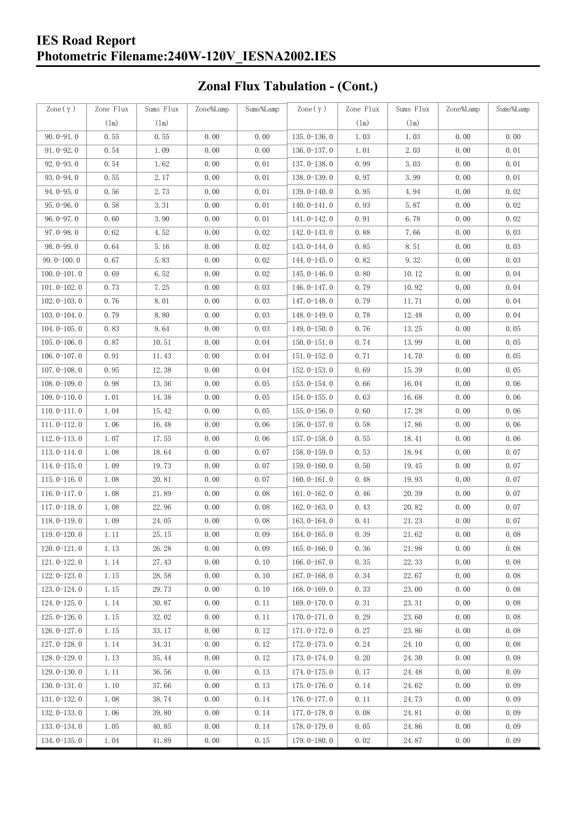## **IES Road Report Photometric Filename:240W-120V\_IESNA2002.IES**

# **Zonal Flux Tabulation - (Cont.)**

| Zone $(\gamma)$ | Zone Flux | Sums Flux | Zone%Lamp | Sums%Lamp | Zone $(\gamma)$ | Zone Flux | Sums Flux | Zone%Lamp | Sums%Lamp |
|-----------------|-----------|-----------|-----------|-----------|-----------------|-----------|-----------|-----------|-----------|
|                 | (1m)      | (1m)      |           |           |                 | (1m)      | $(\ln)$   |           |           |
| $90.0 - 91.0$   | 0.55      | 0.55      | 0.00      | 0.00      | $135.0 - 136.0$ | 1.03      | 1.03      | 0.00      | 0.00      |
| $91.0 - 92.0$   | 0.54      | 1.09      | 0.00      | 0.00      | 136.0-137.0     | 1.01      | 2.03      | 0.00      | 0.01      |
| $92.0 - 93.0$   | 0.54      | 1.62      | 0.00      | 0.01      | $137.0 - 138.0$ | 0.99      | 3.03      | 0.00      | 0.01      |
| 93.0-94.0       | 0.55      | 2.17      | 0.00      | 0.01      | 138.0-139.0     | 0.97      | 3.99      | 0.00      | 0.01      |
| $94.0 - 95.0$   | 0.56      | 2.73      | 0.00      | 0.01      | 139.0-140.0     | 0.95      | 4.94      | 0.00      | 0.02      |
| $95.0 - 96.0$   | 0.58      | 3.31      | 0.00      | 0.01      | $140.0 - 141.0$ | 0.93      | 5.87      | 0.00      | 0.02      |
| $96.0 - 97.0$   | 0.60      | 3.90      | 0.00      | 0.01      | 141.0-142.0     | 0.91      | 6.78      | 0.00      | 0.02      |
| $97.0 - 98.0$   | 0.62      | 4.52      | 0.00      | 0.02      | 142.0-143.0     | 0.88      | 7.66      | 0.00      | 0.03      |
| $98.0 - 99.0$   | 0.64      | 5.16      | 0.00      | 0.02      | 143.0-144.0     | 0.85      | 8.51      | 0.00      | 0.03      |
| $99.0 - 100.0$  | 0.67      | 5.83      | 0.00      | 0.02      | 144.0-145.0     | 0.82      | 9.32      | 0.00      | 0.03      |
| $100.0 - 101.0$ | 0.69      | 6.52      | 0.00      | 0.02      | $145.0 - 146.0$ | 0.80      | 10.12     | 0.00      | 0.04      |
| $101.0 - 102.0$ | 0.73      | 7.25      | 0.00      | 0.03      | 146.0-147.0     | 0.79      | 10.92     | 0.00      | 0.04      |
| $102.0 - 103.0$ | 0.76      | 8.01      | 0.00      | 0.03      | 147.0-148.0     | 0.79      | 11.71     | 0.00      | 0.04      |
| $103.0 - 104.0$ | 0.79      | 8.80      | 0.00      | 0.03      | 148.0-149.0     | 0.78      | 12.48     | 0.00      | 0.04      |
| $104.0 - 105.0$ | 0.83      | 9.64      | 0.00      | 0.03      | $149.0 - 150.0$ | 0.76      | 13.25     | 0.00      | 0.05      |
| $105.0 - 106.0$ | 0.87      | 10.51     | 0.00      | 0.04      | $150.0 - 151.0$ | 0.74      | 13.99     | 0.00      | 0.05      |
| $106.0 - 107.0$ | 0.91      | 11.43     | 0.00      | 0.04      | $151.0 - 152.0$ | 0.71      | 14.70     | 0.00      | 0.05      |
| $107.0 - 108.0$ | 0.95      | 12.38     | 0.00      | 0.04      | $152.0 - 153.0$ | 0.69      | 15.39     | 0.00      | 0.05      |
| $108.0 - 109.0$ | 0.98      | 13.36     | 0.00      | 0.05      | $153.0 - 154.0$ | 0.66      | 16.04     | 0.00      | 0.06      |
| $109.0 - 110.0$ | 1.01      | 14.38     | 0.00      | 0.05      | 154.0-155.0     | 0.63      | 16.68     | 0.00      | 0.06      |
| $110.0 - 111.0$ | 1.04      | 15.42     | 0.00      | 0.05      | $155.0 - 156.0$ | 0.60      | 17.28     | 0.00      | 0.06      |
| $111.0 - 112.0$ | 1.06      | 16.48     | 0.00      | 0.06      | $156.0 - 157.0$ | 0.58      | 17.86     | 0.00      | 0.06      |
| $112.0 - 113.0$ | 1.07      | 17.55     | 0.00      | 0.06      | $157.0 - 158.0$ | 0.55      | 18.41     | 0.00      | 0.06      |
| $113.0 - 114.0$ | 1.08      | 18.64     | 0.00      | 0.07      | 158.0-159.0     | 0.53      | 18.94     | 0.00      | 0.07      |
| $114.0 - 115.0$ | 1.09      | 19.73     | 0.00      | 0.07      | $159.0 - 160.0$ | 0.50      | 19.45     | 0.00      | 0.07      |
| $115.0 - 116.0$ | 1.08      | 20.81     | 0.00      | 0.07      | $160.0 - 161.0$ | 0.48      | 19.93     | 0.00      | 0.07      |
| $116.0 - 117.0$ | 1.08      | 21.89     | 0.00      | 0.08      | $161.0 - 162.0$ | 0.46      | 20.39     | 0.00      | 0.07      |
| $117.0 - 118.0$ | 1.08      | 22.96     | 0.00      | 0.08      | $162.0 - 163.0$ | 0.43      | 20.82     | 0.00      | 0.07      |
| $118.0 - 119.0$ | 1.09      | 24.05     | 0.00      | 0.08      | $163.0 - 164.0$ | 0.41      | 21.23     | 0.00      | 0.07      |
| 119.0-120.0     | 1.11      | 25.15     | 0.00      | 0.09      | 164.0-165.0     | 0.39      | 21.62     | 0.00      | 0.08      |
| $120.0 - 121.0$ | 1.13      | 26.28     | 0.00      | 0.09      | $165.0 - 166.0$ | 0.36      | 21.98     | 0.00      | 0.08      |
| $121.0 - 122.0$ | 1.14      | 27.43     | 0.00      | 0.10      | $166.0 - 167.0$ | 0.35      | 22.33     | 0.00      | 0.08      |
| $122.0 - 123.0$ | 1.15      | 28.58     | 0.00      | 0.10      | $167.0 - 168.0$ | 0.34      | 22.67     | 0.00      | 0.08      |
| $123.0 - 124.0$ | 1.15      | 29.73     | 0.00      | 0.10      | $168.0 - 169.0$ | 0.33      | 23.00     | 0.00      | 0.08      |
| $124.0 - 125.0$ | 1.14      | 30.87     | 0.00      | 0.11      | 169.0-170.0     | 0.31      | 23.31     | 0.00      | 0.08      |
| $125.0 - 126.0$ | 1.15      | 32.02     | 0.00      | 0.11      | $170.0 - 171.0$ | 0.29      | 23.60     | 0.00      | 0.08      |
| $126.0 - 127.0$ | 1.15      | 33.17     | 0.00      | 0.12      | 171.0-172.0     | 0.27      | 23.86     | 0.00      | 0.08      |
| $127.0 - 128.0$ | 1.14      | 34.31     | 0.00      | 0.12      | $172.0 - 173.0$ | 0.24      | 24.10     | 0.00      | 0.08      |
| $128.0 - 129.0$ | 1.13      | 35.44     | 0.00      | 0.12      | 173.0-174.0     | 0.20      | 24.30     | 0.00      | 0.08      |
| $129.0 - 130.0$ | 1.11      | 36.56     | 0.00      | 0.13      | 174.0-175.0     | 0.17      | 24.48     | 0.00      | 0.09      |
| $130.0 - 131.0$ | 1.10      | 37.66     | 0.00      | 0.13      | $175.0 - 176.0$ | 0.14      | 24.62     | 0.00      | 0.09      |
| $131.0 - 132.0$ | 1.08      | 38.74     | 0.00      | 0.14      | 176.0-177.0     | 0.11      | 24.73     | 0.00      | 0.09      |
| $132.0 - 133.0$ | 1.06      | 39.80     | 0.00      | 0.14      | $177.0 - 178.0$ | 0.08      | 24.81     | 0.00      | 0.09      |
| $133.0 - 134.0$ | 1.05      | 40.85     | 0.00      | 0.14      | 178.0-179.0     | 0.05      | 24.86     | 0.00      | 0.09      |
| $134.0 - 135.0$ | 1.04      | 41.89     | 0.00      | 0.15      | $179.0 - 180.0$ | 0.02      | 24.87     | 0.00      | 0.09      |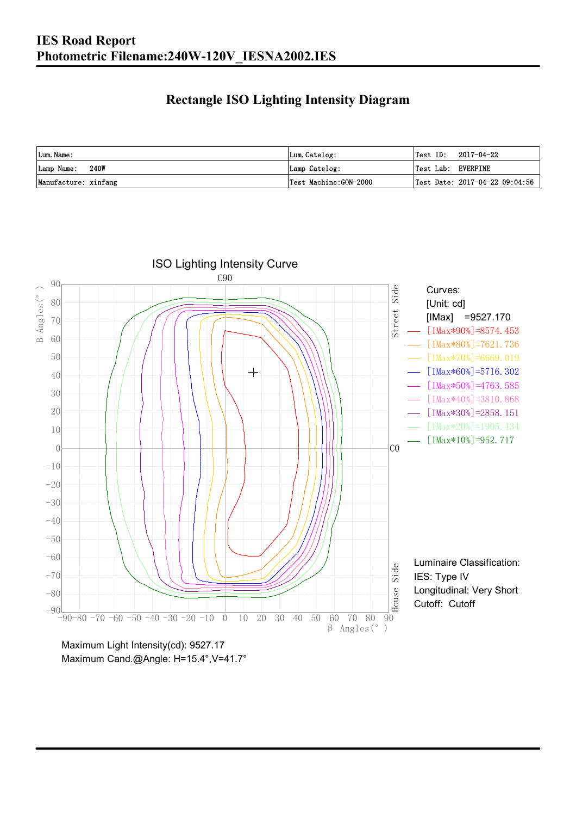### **Rectangle ISO Lighting Intensity Diagram**

| Lum. Name:           | Lum.Catelog:          | $\textsf{Test ID:} \quad 2017-04-22$           |
|----------------------|-----------------------|------------------------------------------------|
| 240W<br>Lamp Name:   | Lamp Catelog:         | Test Lab: EVERFINE                             |
| Manufacture: xinfang | Test Machine:GON-2000 | $\vert$ Test Date: 2017-04-22 09:04:56 $\vert$ |



Maximum Cand.@Angle: H=15.4°, V=41.7°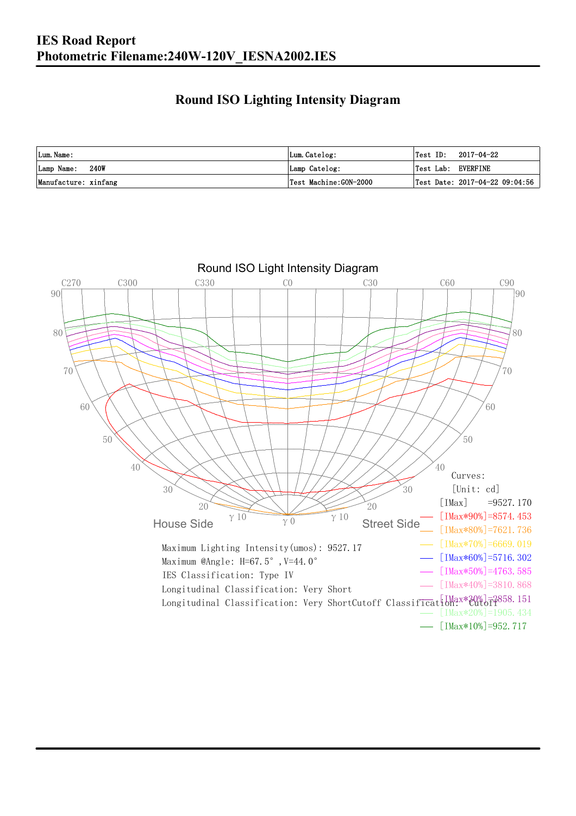## **Round ISO Lighting Intensity Diagram**

| Lum. Name:           | Lum.Catelog:          | 2017-04-22<br>Test ID:                         |
|----------------------|-----------------------|------------------------------------------------|
| 240W<br>Lamp Name:   | Lamp Catelog:         | Test Lab: EVERFINE                             |
| Manufacture: xinfang | Test Machine:GON-2000 | $\vert$ Test Date: 2017-04-22 09:04:56 $\vert$ |

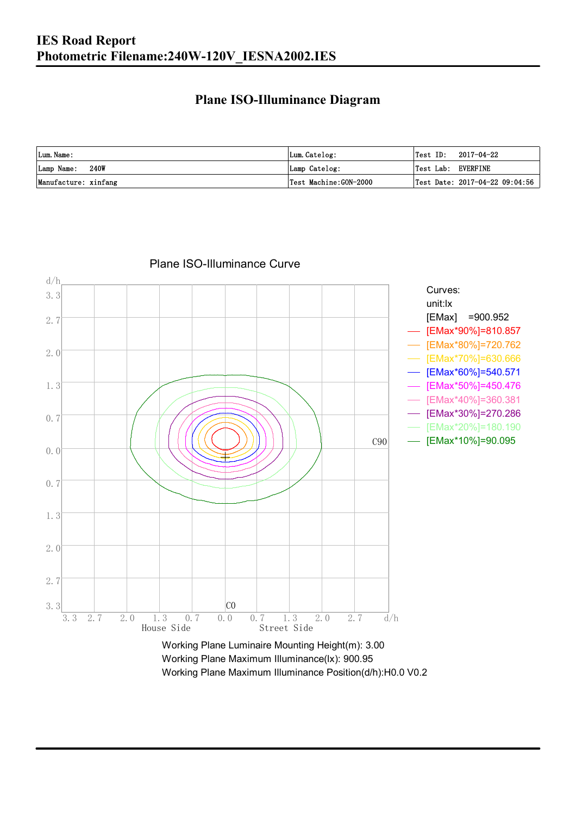### **Plane ISO-Illuminance Diagram**

| Lum. Name:           | Lum.Catelog:          | $\textsf{Test ID:} \quad 2017-04-22$           |
|----------------------|-----------------------|------------------------------------------------|
| 240W<br>Lamp Name:   | Lamp Catelog:         | Test Lab: EVERFINE                             |
| Manufacture: xinfang | Test Machine:GON-2000 | $\vert$ Test Date: 2017-04-22 09:04:56 $\vert$ |



#### Plane ISO-Illuminance Curve

Working Plane Maximum Illuminance(lx): 900.95 Working Plane Maximum Illuminance Position(d/h):H0.0 V0.2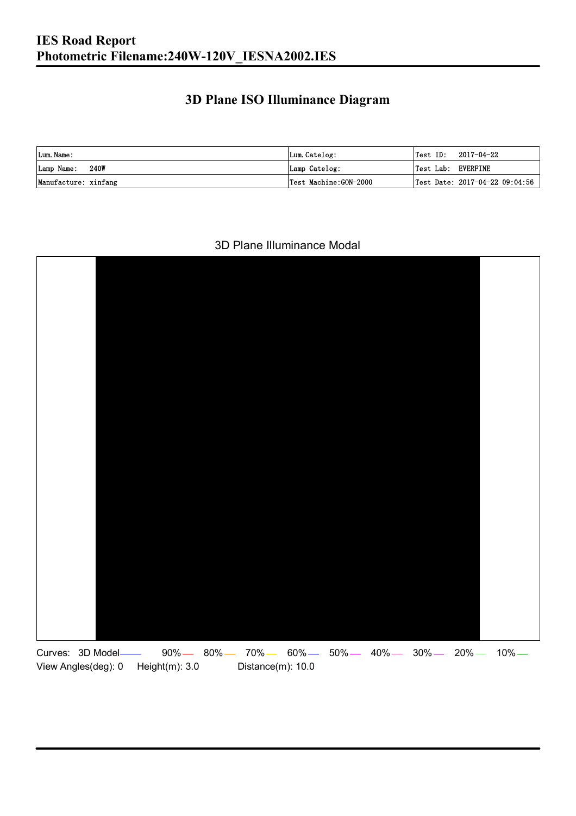## **3D Plane ISO Illuminance Diagram**

| Lum. Name:           | Lum.Catelog:          |                    | $\textsf{Test ID:} \quad 2017-04-22$ |
|----------------------|-----------------------|--------------------|--------------------------------------|
| Lamp Name: 240W      | Lamp Catelog:         | Test Lab: EVERFINE |                                      |
| Manufacture: xinfang | Test Machine:GON-2000 |                    | Test Date: 2017-04-22 09:04:56       |

#### 3D Plane Illuminance Modal

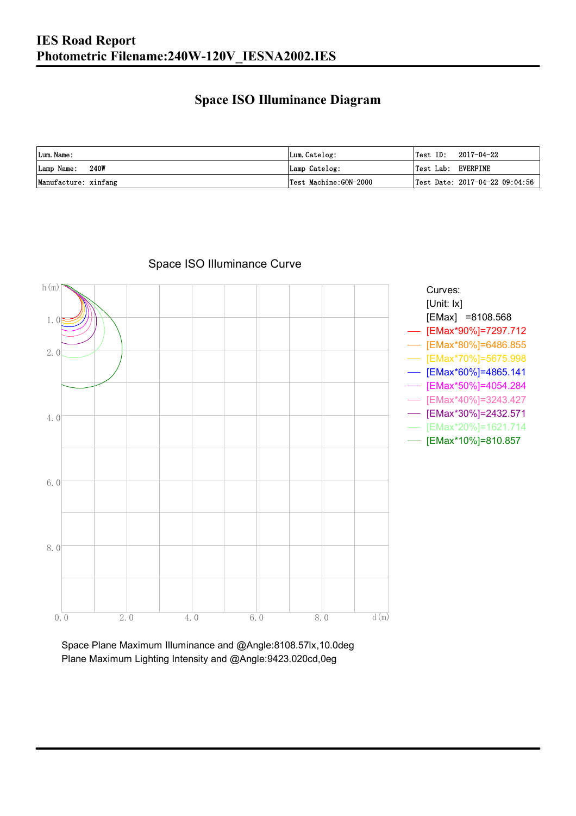### **Space ISO Illuminance Diagram**

| Lum. Name:           | Lum.Catelog:          | $\textsf{Test ID:} \quad 2017-04-22$           |
|----------------------|-----------------------|------------------------------------------------|
| 240W<br>Lamp Name:   | Lamp Catelog:         | Test Lab: EVERFINE                             |
| Manufacture: xinfang | Test Machine:GON-2000 | $\vert$ Test Date: 2017-04-22 09:04:56 $\vert$ |



Space ISO Illuminance Curve

Space Plane Maximum Illuminance and @Angle:8108.57lx,10.0deg Plane Maximum Lighting Intensity and @Angle:9423.020cd,0eg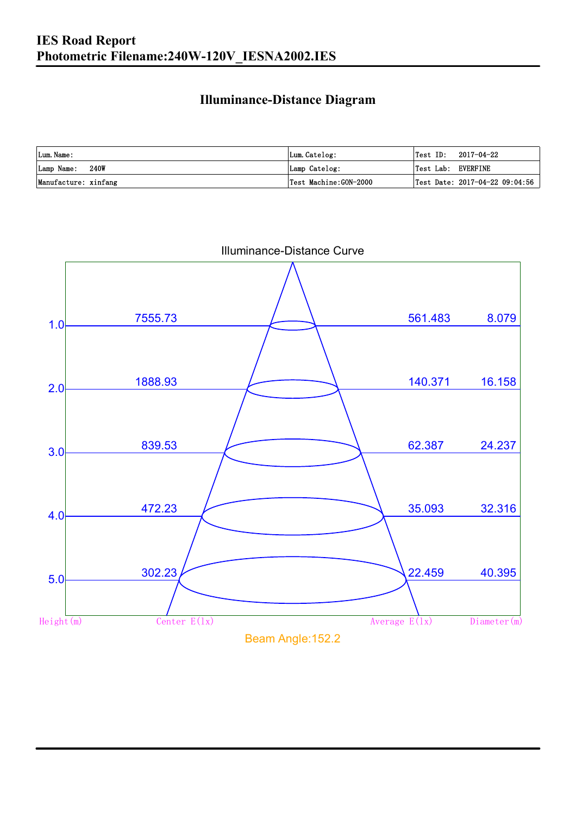### **Illuminance-Distance Diagram**

| Lum. Name:           | Lum.Catelog:          | 'Test ID:          | 2017-04-22                     |
|----------------------|-----------------------|--------------------|--------------------------------|
| Lamp Name: 240W      | Lamp Catelog:         | Test Lab: EVERFINE |                                |
| Manufacture: xinfang | Test Machine:GON-2000 |                    | Test Date: 2017-04-22 09:04:56 |

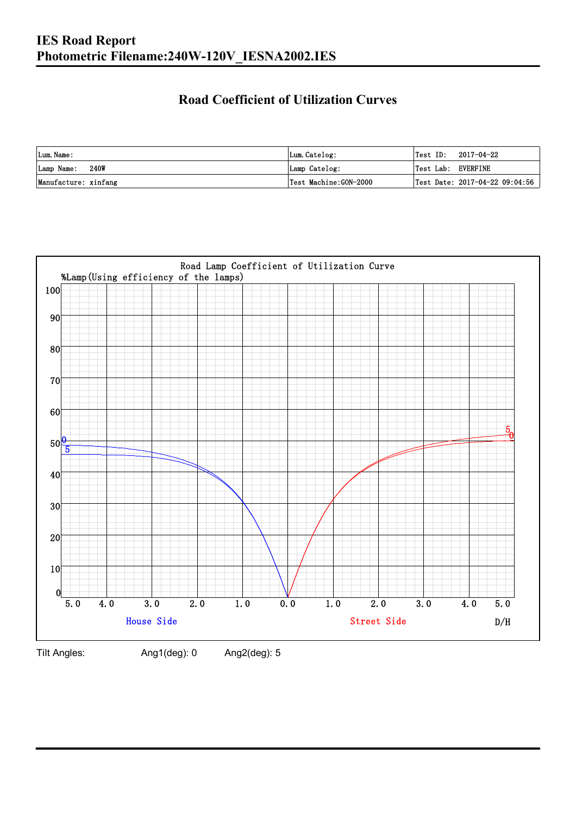## **Road Coefficient of Utilization Curves**

| Lum. Name:           | Lum.Catelog:          |                    | $\textsf{Test ID:} \quad 2017-04-22$ |
|----------------------|-----------------------|--------------------|--------------------------------------|
| Lamp Name: 240W      | Lamp Catelog:         | Test Lab: EVERFINE |                                      |
| Manufacture: xinfang | Test Machine:GON-2000 |                    | Test Date: 2017-04-22 09:04:56       |



Tilt Angles: Ang1(deg): 0 Ang2(deg): 5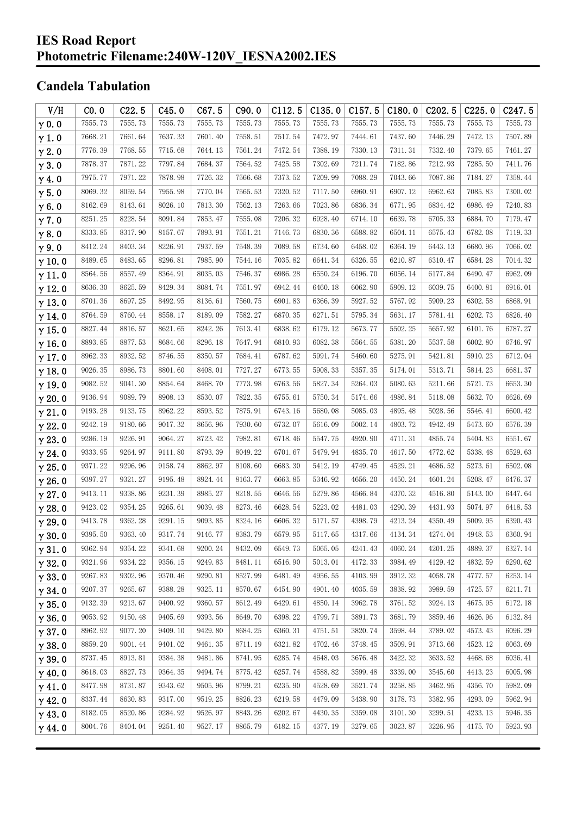### **IES Road Report Photometric Filename:240W-120V\_IESNA2002.IES**

## **Candela Tabulation**

| V/H           | CO.0    | C22.5   | C45.0   | C67.5   | C90.0   | C112.5  | C135.0  | C157.5  | C180.0  | C202.5  | C225.0  | C <sub>247.5</sub> |
|---------------|---------|---------|---------|---------|---------|---------|---------|---------|---------|---------|---------|--------------------|
| $\gamma$ 0.0  | 7555.73 | 7555.73 | 7555.73 | 7555.73 | 7555.73 | 7555.73 | 7555.73 | 7555.73 | 7555.73 | 7555.73 | 7555.73 | 7555.73            |
| $\gamma$ 1.0  | 7668.21 | 7661.64 | 7637.33 | 7601.40 | 7558.51 | 7517.54 | 7472.97 | 7444.61 | 7437.60 | 7446.29 | 7472.13 | 7507.89            |
| $\gamma$ 2.0  | 7776.39 | 7768.55 | 7715.68 | 7644.13 | 7561.24 | 7472.54 | 7388.19 | 7330.13 | 7311.31 | 7332.40 | 7379.65 | 7461.27            |
| $\gamma$ 3.0  | 7878.37 | 7871.22 | 7797.84 | 7684.37 | 7564.52 | 7425.58 | 7302.69 | 7211.74 | 7182.86 | 7212.93 | 7285.50 | 7411.76            |
| $\gamma$ 4.0  | 7975.77 | 7971.22 | 7878.98 | 7726.32 | 7566.68 | 7373.52 | 7209.99 | 7088.29 | 7043.66 | 7087.86 | 7184.27 | 7358.44            |
| $\gamma$ 5.0  | 8069.32 | 8059.54 | 7955.98 | 7770.04 | 7565.53 | 7320.52 | 7117.50 | 6960.91 | 6907.12 | 6962.63 | 7085.83 | 7300.02            |
| $\gamma$ 6.0  | 8162.69 | 8143.61 | 8026.10 | 7813.30 | 7562.13 | 7263.66 | 7023.86 | 6836.34 | 6771.95 | 6834.42 | 6986.49 | 7240.83            |
| $\gamma$ 7.0  | 8251.25 | 8228.54 | 8091.84 | 7853.47 | 7555.08 | 7206.32 | 6928.40 | 6714.10 | 6639.78 | 6705.33 | 6884.70 | 7179.47            |
| $\gamma$ 8.0  | 8333.85 | 8317.90 | 8157.67 | 7893.91 | 7551.21 | 7146.73 | 6830.36 | 6588.82 | 6504.11 | 6575.43 | 6782.08 | 7119.33            |
| $\gamma$ 9.0  | 8412.24 | 8403.34 | 8226.91 | 7937.59 | 7548.39 | 7089.58 | 6734.60 | 6458.02 | 6364.19 | 6443.13 | 6680.96 | 7066.02            |
| $\gamma$ 10.0 | 8489.65 | 8483.65 | 8296.81 | 7985.90 | 7544.16 | 7035.82 | 6641.34 | 6326.55 | 6210.87 | 6310.47 | 6584.28 | 7014.32            |
| $\gamma$ 11.0 | 8564.56 | 8557.49 | 8364.91 | 8035.03 | 7546.37 | 6986.28 | 6550.24 | 6196.70 | 6056.14 | 6177.84 | 6490.47 | 6962.09            |
| $\gamma$ 12.0 | 8636.30 | 8625.59 | 8429.34 | 8084.74 | 7551.97 | 6942.44 | 6460.18 | 6062.90 | 5909.12 | 6039.75 | 6400.81 | 6916.01            |
| $\gamma$ 13.0 | 8701.36 | 8697.25 | 8492.95 | 8136.61 | 7560.75 | 6901.83 | 6366.39 | 5927.52 | 5767.92 | 5909.23 | 6302.58 | 6868.91            |
| $\gamma$ 14.0 | 8764.59 | 8760.44 | 8558.17 | 8189.09 | 7582.27 | 6870.35 | 6271.51 | 5795.34 | 5631.17 | 5781.41 | 6202.73 | 6826.40            |
| $\gamma$ 15.0 | 8827.44 | 8816.57 | 8621.65 | 8242.26 | 7613.41 | 6838.62 | 6179.12 | 5673.77 | 5502.25 | 5657.92 | 6101.76 | 6787.27            |
| $\gamma$ 16.0 | 8893.85 | 8877.53 | 8684.66 | 8296.18 | 7647.94 | 6810.93 | 6082.38 | 5564.55 | 5381.20 | 5537.58 | 6002.80 | 6746.97            |
| $\gamma$ 17.0 | 8962.33 | 8932.52 | 8746.55 | 8350.57 | 7684.41 | 6787.62 | 5991.74 | 5460.60 | 5275.91 | 5421.81 | 5910.23 | 6712.04            |
| $\gamma$ 18.0 | 9026.35 | 8986.73 | 8801.60 | 8408.01 | 7727.27 | 6773.55 | 5908.33 | 5357.35 | 5174.01 | 5313.71 | 5814.23 | 6681.37            |
| $\gamma$ 19.0 | 9082.52 | 9041.30 | 8854.64 | 8468.70 | 7773.98 | 6763.56 | 5827.34 | 5264.03 | 5080.63 | 5211.66 | 5721.73 | 6653.30            |
| $\gamma$ 20.0 | 9136.94 | 9089.79 | 8908.13 | 8530.07 | 7822.35 | 6755.61 | 5750.34 | 5174.66 | 4986.84 | 5118.08 | 5632.70 | 6626.69            |
| $\gamma$ 21.0 | 9193.28 | 9133.75 | 8962.22 | 8593.52 | 7875.91 | 6743.16 | 5680.08 | 5085.03 | 4895.48 | 5028.56 | 5546.41 | 6600.42            |
| $\gamma$ 22.0 | 9242.19 | 9180.66 | 9017.32 | 8656.96 | 7930.60 | 6732.07 | 5616.09 | 5002.14 | 4803.72 | 4942.49 | 5473.60 | 6576.39            |
| $\gamma$ 23.0 | 9286.19 | 9226.91 | 9064.27 | 8723.42 | 7982.81 | 6718.46 | 5547.75 | 4920.90 | 4711.31 | 4855.74 | 5404.83 | 6551.67            |
| $\gamma$ 24.0 | 9333.95 | 9264.97 | 9111.80 | 8793.39 | 8049.22 | 6701.67 | 5479.94 | 4835.70 | 4617.50 | 4772.62 | 5338.48 | 6529.63            |
| $\gamma$ 25.0 | 9371.22 | 9296.96 | 9158.74 | 8862.97 | 8108.60 | 6683.30 | 5412.19 | 4749.45 | 4529.21 | 4686.52 | 5273.61 | 6502.08            |
| $\gamma$ 26.0 | 9397.27 | 9321.27 | 9195.48 | 8924.44 | 8163.77 | 6663.85 | 5346.92 | 4656.20 | 4450.24 | 4601.24 | 5208.47 | 6476.37            |
| $\gamma$ 27.0 | 9413.11 | 9338.86 | 9231.39 | 8985.27 | 8218.55 | 6646.56 | 5279.86 | 4566.84 | 4370.32 | 4516.80 | 5143.00 | 6447.64            |
| $\gamma$ 28.0 | 9423.02 | 9354.25 | 9265.61 | 9039.48 | 8273.46 | 6628.54 | 5223.02 | 4481.03 | 4290.39 | 4431.93 | 5074.97 | 6418.53            |
| $\gamma$ 29.0 | 9413.78 | 9362.28 | 9291.15 | 9093.85 | 8324.16 | 6606.32 | 5171.57 | 4398.79 | 4213.24 | 4350.49 | 5009.95 | 6390.43            |
| $\gamma$ 30.0 | 9395.50 | 9363.40 | 9317.74 | 9146.77 | 8383.79 | 6579.95 | 5117.65 | 4317.66 | 4134.34 | 4274.04 | 4948.53 | 6360.94            |
| $\gamma$ 31.0 | 9362.94 | 9354.22 | 9341.68 | 9200.24 | 8432.09 | 6549.73 | 5065.05 | 4241.43 | 4060.24 | 4201.25 | 4889.37 | 6327.14            |
| $\gamma$ 32.0 | 9321.96 | 9334.22 | 9356.15 | 9249.83 | 8481.11 | 6516.90 | 5013.01 | 4172.33 | 3984.49 | 4129.42 | 4832.59 | 6290.62            |
| $\gamma$ 33.0 | 9267.83 | 9302.96 | 9370.46 | 9290.81 | 8527.99 | 6481.49 | 4956.55 | 4103.99 | 3912.32 | 4058.78 | 4777.57 | 6253.14            |
| $\gamma$ 34.0 | 9207.37 | 9265.67 | 9388.28 | 9325.11 | 8570.67 | 6454.90 | 4901.40 | 4035.59 | 3838.92 | 3989.59 | 4725.57 | 6211.71            |
| $\gamma$ 35.0 | 9132.39 | 9213.67 | 9400.92 | 9360.57 | 8612.49 | 6429.61 | 4850.14 | 3962.78 | 3761.52 | 3924.13 | 4675.95 | 6172.18            |
| $\gamma$ 36.0 | 9053.92 | 9150.48 | 9405.69 | 9393.56 | 8649.70 | 6398.22 | 4799.71 | 3891.73 | 3681.79 | 3859.46 | 4626.96 | 6132.84            |
| $\gamma$ 37.0 | 8962.92 | 9077.20 | 9409.10 | 9429.80 | 8684.25 | 6360.31 | 4751.51 | 3820.74 | 3598.44 | 3789.02 | 4573.43 | 6096.29            |
| $\gamma$ 38.0 | 8859.20 | 9001.44 | 9401.02 | 9461.35 | 8711.19 | 6321.82 | 4702.46 | 3748.45 | 3509.91 | 3713.66 | 4523.12 | 6063.69            |
| $\gamma$ 39.0 | 8737.45 | 8913.81 | 9384.38 | 9481.86 | 8741.95 | 6285.74 | 4648.03 | 3676.48 | 3422.32 | 3633.52 | 4468.68 | 6036.41            |
| $\gamma$ 40.0 | 8618.03 | 8827.73 | 9364.35 | 9494.74 | 8775.42 | 6257.74 | 4588.82 | 3599.48 | 3339.00 | 3545.60 | 4413.23 | 6005.98            |
| $\gamma$ 41.0 | 8477.98 | 8731.87 | 9343.62 | 9505.96 | 8799.21 | 6235.90 | 4528.69 | 3521.74 | 3258.85 | 3462.95 | 4356.70 | 5982.09            |
| $\gamma$ 42.0 | 8337.44 | 8630.83 | 9317.00 | 9519.25 | 8826.23 | 6219.58 | 4479.09 | 3438.90 | 3178.73 | 3382.95 | 4293.09 | 5962.94            |
| $\gamma$ 43.0 | 8182.05 | 8520.86 | 9284.92 | 9526.97 | 8843.26 | 6202.67 | 4430.35 | 3359.08 | 3101.30 | 3299.51 | 4233.13 | 5946.35            |
| $\gamma$ 44.0 | 8004.76 | 8404.04 | 9251.40 | 9527.17 | 8865.79 | 6182.15 | 4377.19 | 3279.65 | 3023.87 | 3226.95 | 4175.70 | 5923.93            |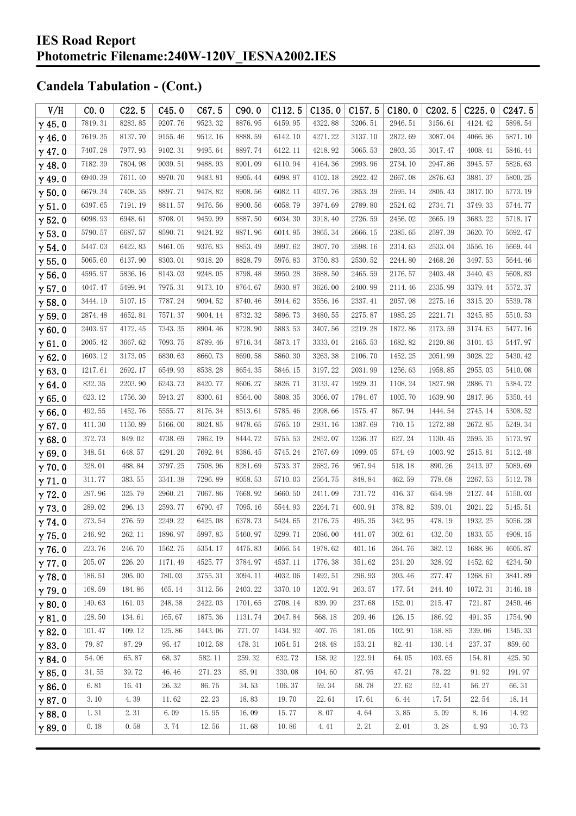| V/H           | CO.0    | C22.5   | C45.0   | C67.5   | C90.0   | C112.5  | C135.0  | C157.5  | C180.0  | C <sub>202.5</sub> | C225.0  | C <sub>247.5</sub> |
|---------------|---------|---------|---------|---------|---------|---------|---------|---------|---------|--------------------|---------|--------------------|
| $\gamma$ 45.0 | 7819.31 | 8283.85 | 9207.76 | 9523.32 | 8876.95 | 6159.95 | 4322.88 | 3206.51 | 2946.51 | 3156.61            | 4124.42 | 5898.54            |
| $\gamma$ 46.0 | 7619.35 | 8137.70 | 9155.46 | 9512.16 | 8888.59 | 6142.10 | 4271.22 | 3137.10 | 2872.69 | 3087.04            | 4066.96 | 5871.10            |
| $\gamma$ 47.0 | 7407.28 | 7977.93 | 9102.31 | 9495.64 | 8897.74 | 6122.11 | 4218.92 | 3065.53 | 2803.35 | 3017.47            | 4008.41 | 5846.44            |
| $\gamma$ 48.0 | 7182.39 | 7804.98 | 9039.51 | 9488.93 | 8901.09 | 6110.94 | 4164.36 | 2993.96 | 2734.10 | 2947.86            | 3945.57 | 5826.63            |
| $\gamma$ 49.0 | 6940.39 | 7611.40 | 8970.70 | 9483.81 | 8905.44 | 6098.97 | 4102.18 | 2922.42 | 2667.08 | 2876.63            | 3881.37 | 5800.25            |
| $\gamma$ 50.0 | 6679.34 | 7408.35 | 8897.71 | 9478.82 | 8908.56 | 6082.11 | 4037.76 | 2853.39 | 2595.14 | 2805.43            | 3817.00 | 5773.19            |
| $\gamma$ 51.0 | 6397.65 | 7191.19 | 8811.57 | 9476.56 | 8900.56 | 6058.79 | 3974.69 | 2789.80 | 2524.62 | 2734.71            | 3749.33 | 5744.77            |
| $\gamma$ 52.0 | 6098.93 | 6948.61 | 8708.01 | 9459.99 | 8887.50 | 6034.30 | 3918.40 | 2726.59 | 2456.02 | 2665.19            | 3683.22 | 5718.17            |
| $\gamma$ 53.0 | 5790.57 | 6687.57 | 8590.71 | 9424.92 | 8871.96 | 6014.95 | 3865.34 | 2666.15 | 2385.65 | 2597.39            | 3620.70 | 5692.47            |
| $\gamma$ 54.0 | 5447.03 | 6422.83 | 8461.05 | 9376.83 | 8853.49 | 5997.62 | 3807.70 | 2598.16 | 2314.63 | 2533.04            | 3556.16 | 5669.44            |
| $\gamma$ 55.0 | 5065.60 | 6137.90 | 8303.01 | 9318.20 | 8828.79 | 5976.83 | 3750.83 | 2530.52 | 2244.80 | 2468.26            | 3497.53 | 5644.46            |
| $\gamma$ 56.0 | 4595.97 | 5836.16 | 8143.03 | 9248.05 | 8798.48 | 5950.28 | 3688.50 | 2465.59 | 2176.57 | 2403.48            | 3440.43 | 5608.83            |
| $\gamma$ 57.0 | 4047.47 | 5499.94 | 7975.31 | 9173.10 | 8764.67 | 5930.87 | 3626.00 | 2400.99 | 2114.46 | 2335.99            | 3379.44 | 5572.37            |
| $\gamma$ 58.0 | 3444.19 | 5107.15 | 7787.24 | 9094.52 | 8740.46 | 5914.62 | 3556.16 | 2337.41 | 2057.98 | 2275.16            | 3315.20 | 5539.78            |
| $\gamma$ 59.0 | 2874.48 | 4652.81 | 7571.37 | 9004.14 | 8732.32 | 5896.73 | 3480.55 | 2275.87 | 1985.25 | 2221.71            | 3245.85 | 5510.53            |
| $\gamma$ 60.0 | 2403.97 | 4172.45 | 7343.35 | 8904.46 | 8728.90 | 5883.53 | 3407.56 | 2219.28 | 1872.86 | 2173.59            | 3174.63 | 5477.16            |
| $\gamma$ 61.0 | 2005.42 | 3667.62 | 7093.75 | 8789.46 | 8716.34 | 5873.17 | 3333.01 | 2165.53 | 1682.82 | 2120.86            | 3101.43 | 5447.97            |
| $\gamma$ 62.0 | 1603.12 | 3173.05 | 6830.63 | 8660.73 | 8690.58 | 5860.30 | 3263.38 | 2106.70 | 1452.25 | 2051.99            | 3028.22 | 5430.42            |
| $\gamma$ 63.0 | 1217.61 | 2692.17 | 6549.93 | 8538.28 | 8654.35 | 5846.15 | 3197.22 | 2031.99 | 1256.63 | 1958.85            | 2955.03 | 5410.08            |
| $\gamma$ 64.0 | 832.35  | 2203.90 | 6243.73 | 8420.77 | 8606.27 | 5826.71 | 3133.47 | 1929.31 | 1108.24 | 1827.98            | 2886.71 | 5384.72            |
| $\gamma$ 65.0 | 623.12  | 1756.30 | 5913.27 | 8300.61 | 8564.00 | 5808.35 | 3066.07 | 1784.67 | 1005.70 | 1639.90            | 2817.96 | 5350.44            |
| $\gamma$ 66.0 | 492.55  | 1452.76 | 5555.77 | 8176.34 | 8513.61 | 5785.46 | 2998.66 | 1575.47 | 867.94  | 1444.54            | 2745.14 | 5308.52            |
| $\gamma$ 67.0 | 411.30  | 1150.89 | 5166.00 | 8024.85 | 8478.65 | 5765.10 | 2931.16 | 1387.69 | 710.15  | 1272.88            | 2672.85 | 5249.34            |
| $\gamma$ 68.0 | 372.73  | 849.02  | 4738.69 | 7862.19 | 8444.72 | 5755.53 | 2852.07 | 1236.37 | 627.24  | 1130.45            | 2595.35 | 5173.97            |
| $\gamma$ 69.0 | 348.51  | 648.57  | 4291.20 | 7692.84 | 8386.45 | 5745.24 | 2767.69 | 1099.05 | 574.49  | 1003.92            | 2515.81 | 5112.48            |
| $\gamma$ 70.0 | 328.01  | 488.84  | 3797.25 | 7508.96 | 8281.69 | 5733.37 | 2682.76 | 967.94  | 518.18  | 890.26             | 2413.97 | 5089.69            |
| $\gamma$ 71.0 | 311.77  | 383.55  | 3341.38 | 7296.89 | 8058.53 | 5710.03 | 2564.75 | 848.84  | 462.59  | 778.68             | 2267.53 | 5112.78            |
| $\gamma$ 72.0 | 297.96  | 325.79  | 2960.21 | 7067.86 | 7668.92 | 5660.50 | 2411.09 | 731.72  | 416.37  | 654.98             | 2127.44 | 5150.03            |
| $\gamma$ 73.0 | 289.02  | 296.13  | 2593.77 | 6790.47 | 7095.16 | 5544.93 | 2264.71 | 600.91  | 378.82  | 539.01             | 2021.22 | 5145.51            |
| $\gamma$ 74.0 | 273.54  | 276.59  | 2249.22 | 6425.08 | 6378.73 | 5424.65 | 2176.75 | 495.35  | 342.95  | 478.19             | 1932.25 | 5056.28            |
| $\gamma$ 75.0 | 246.92  | 262.11  | 1896.97 | 5997.83 | 5460.97 | 5299.71 | 2086.00 | 441.07  | 302.61  | 432.50             | 1833.55 | 4908.15            |
| $\gamma$ 76.0 | 223.76  | 246.70  | 1562.75 | 5354.17 | 4475.83 | 5056.54 | 1978.62 | 401.16  | 264.76  | 382.12             | 1688.96 | 4605.87            |
| $\gamma$ 77.0 | 205.07  | 226.20  | 1171.49 | 4525.77 | 3784.97 | 4537.11 | 1776.38 | 351.62  | 231.20  | 328.92             | 1452.62 | 4234.50            |
| $\gamma$ 78.0 | 186.51  | 205.00  | 780.03  | 3755.31 | 3094.11 | 4032.06 | 1492.51 | 296.93  | 203.46  | 277.47             | 1268.61 | 3841.89            |
| $\gamma$ 79.0 | 168.59  | 184.86  | 465.14  | 3112.56 | 2403.22 | 3370.10 | 1202.91 | 263.57  | 177.54  | 244.40             | 1072.31 | 3146.18            |
| $\gamma$ 80.0 | 149.63  | 161.03  | 248.38  | 2422.03 | 1701.65 | 2708.14 | 839.99  | 237.68  | 152.01  | 215.47             | 721.87  | 2450.46            |
| $\gamma$ 81.0 | 128.50  | 134.61  | 165.67  | 1875.36 | 1131.74 | 2047.84 | 568.18  | 209.46  | 126.15  | 186.92             | 491.35  | 1754.90            |
| $\gamma$ 82.0 | 101.47  | 109.12  | 125.86  | 1443.06 | 771.07  | 1434.92 | 407.76  | 181.05  | 102.91  | 158.85             | 339.06  | 1345.33            |
| $\gamma$ 83.0 | 79.87   | 87.29   | 95.47   | 1012.58 | 478.31  | 1054.51 | 248.48  | 153.21  | 82.41   | 130.14             | 237.37  | 859.60             |
| $\gamma$ 84.0 | 54.06   | 65.87   | 68.37   | 582.11  | 259.32  | 632.72  | 158.92  | 122.91  | 64.05   | 103.65             | 154.81  | 425.50             |
| $\gamma$ 85.0 | 31.55   | 39.72   | 46.46   | 271.23  | 85.91   | 330.08  | 104.60  | 87.95   | 47.21   | 78.22              | 91.92   | 191.97             |
| $\gamma$ 86.0 | 6.81    | 16.41   | 26.32   | 86.75   | 34.53   | 106.37  | 59.34   | 58.78   | 27.62   | 52.41              | 56.27   | 66.31              |
| $\gamma$ 87.0 | 3.10    | 4.39    | 11.62   | 22.23   | 18.83   | 19.70   | 22.61   | 17.61   | 6.44    | 17.54              | 22.54   | 18.14              |
| $\gamma$ 88.0 | 1.31    | 2.31    | 6.09    | 15.95   | 16.09   | 15.77   | 8.07    | 4.64    | 3.85    | 5.09               | 8.16    | 14.92              |
| $\gamma$ 89.0 | 0.18    | 0.58    | 3.74    | 12.56   | 11.68   | 10.86   | 4.41    | 2.21    | 2.01    | 3.28               | 4.93    | 10.73              |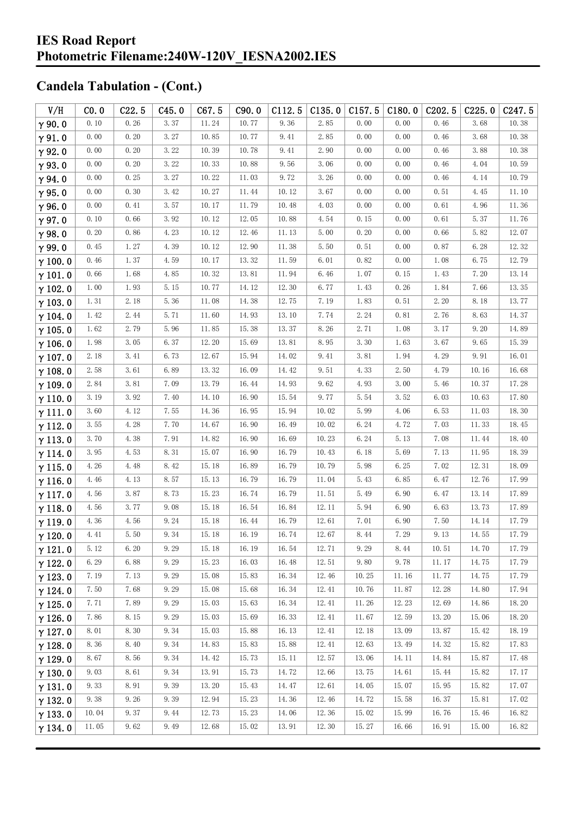| V/H            | CO.0     | C22.5 | C45.0 | C67.5 | C90.0 | C112.5 | C135.0 | C157.5   | C180.0 | C <sub>202.5</sub> | C225.0 | C247.5 |
|----------------|----------|-------|-------|-------|-------|--------|--------|----------|--------|--------------------|--------|--------|
| $\gamma$ 90.0  | 0.10     | 0.26  | 3.37  | 11.24 | 10.77 | 9.36   | 2.85   | 0.00     | 0.00   | 0.46               | 3.68   | 10.38  |
| $\gamma$ 91.0  | 0.00     | 0.20  | 3.27  | 10.85 | 10.77 | 9.41   | 2.85   | 0.00     | 0.00   | 0.46               | 3.68   | 10.38  |
| $\gamma$ 92.0  | 0.00     | 0.20  | 3.22  | 10.39 | 10.78 | 9.41   | 2.90   | 0.00     | 0.00   | 0.46               | 3.88   | 10.38  |
| $\gamma$ 93.0  | 0.00     | 0.20  | 3.22  | 10.33 | 10.88 | 9.56   | 3.06   | 0.00     | 0.00   | 0.46               | 4.04   | 10.59  |
| $\gamma$ 94.0  | 0.00     | 0.25  | 3.27  | 10.22 | 11.03 | 9.72   | 3.26   | 0.00     | 0.00   | 0.46               | 4.14   | 10.79  |
| $\gamma$ 95.0  | 0.00     | 0.30  | 3.42  | 10.27 | 11.44 | 10.12  | 3.67   | 0.00     | 0.00   | 0.51               | 4.45   | 11.10  |
| $\gamma$ 96.0  | 0.00     | 0.41  | 3.57  | 10.17 | 11.79 | 10.48  | 4.03   | 0.00     | 0.00   | 0.61               | 4.96   | 11.36  |
| $\gamma$ 97.0  | 0.10     | 0.66  | 3.92  | 10.12 | 12.05 | 10.88  | 4.54   | 0.15     | 0.00   | 0.61               | 5.37   | 11.76  |
| $\gamma$ 98.0  | 0.20     | 0.86  | 4.23  | 10.12 | 12.46 | 11.13  | 5.00   | 0.20     | 0.00   | 0.66               | 5.82   | 12.07  |
| $\gamma$ 99.0  | 0.45     | 1.27  | 4.39  | 10.12 | 12.90 | 11.38  | 5.50   | 0.51     | 0.00   | 0.87               | 6.28   | 12.32  |
| $\gamma$ 100.0 | 0.46     | 1.37  | 4.59  | 10.17 | 13.32 | 11.59  | 6.01   | 0.82     | 0.00   | 1.08               | 6.75   | 12.79  |
| $\gamma$ 101.0 | 0.66     | 1.68  | 4.85  | 10.32 | 13.81 | 11.94  | 6.46   | 1.07     | 0.15   | 1.43               | 7.20   | 13.14  |
| $\gamma$ 102.0 | 1.00     | 1.93  | 5.15  | 10.77 | 14.12 | 12.30  | 6.77   | 1.43     | 0.26   | 1.84               | 7.66   | 13.35  |
| $\gamma$ 103.0 | 1.31     | 2.18  | 5.36  | 11.08 | 14.38 | 12.75  | 7.19   | 1.83     | 0.51   | 2.20               | 8.18   | 13.77  |
| $\gamma$ 104.0 | 1.42     | 2.44  | 5.71  | 11.60 | 14.93 | 13.10  | 7.74   | 2.24     | 0.81   | 2.76               | 8.63   | 14.37  |
| $\gamma$ 105.0 | 1.62     | 2.79  | 5.96  | 11.85 | 15.38 | 13.37  | 8.26   | 2.71     | 1.08   | 3.17               | 9.20   | 14.89  |
| $\gamma$ 106.0 | 1.98     | 3.05  | 6.37  | 12.20 | 15.69 | 13.81  | 8.95   | 3.30     | 1.63   | 3.67               | 9.65   | 15.39  |
| $\gamma$ 107.0 | 2.18     | 3.41  | 6.73  | 12.67 | 15.94 | 14.02  | 9.41   | 3.81     | 1.94   | 4.29               | 9.91   | 16.01  |
| $\gamma$ 108.0 | 2.58     | 3.61  | 6.89  | 13.32 | 16.09 | 14.42  | 9.51   | 4.33     | 2.50   | 4.79               | 10.16  | 16.68  |
| $\gamma$ 109.0 | 2.84     | 3.81  | 7.09  | 13.79 | 16.44 | 14.93  | 9.62   | 4.93     | 3.00   | 5.46               | 10.37  | 17.28  |
| $\gamma$ 110.0 | 3.19     | 3.92  | 7.40  | 14.10 | 16.90 | 15.54  | 9.77   | 5.54     | 3.52   | 6.03               | 10.63  | 17.80  |
| $\gamma$ 111.0 | 3.60     | 4.12  | 7.55  | 14.36 | 16.95 | 15.94  | 10.02  | 5.99     | 4.06   | 6.53               | 11.03  | 18.30  |
| $\gamma$ 112.0 | 3.55     | 4.28  | 7.70  | 14.67 | 16.90 | 16.49  | 10.02  | 6.24     | 4.72   | 7.03               | 11.33  | 18.45  |
| $\gamma$ 113.0 | 3.70     | 4.38  | 7.91  | 14.82 | 16.90 | 16.69  | 10.23  | 6.24     | 5.13   | 7.08               | 11.44  | 18.40  |
| $\gamma$ 114.0 | 3.95     | 4.53  | 8.31  | 15.07 | 16.90 | 16.79  | 10.43  | 6.18     | 5.69   | 7.13               | 11.95  | 18.39  |
| $\gamma$ 115.0 | 4.26     | 4.48  | 8.42  | 15.18 | 16.89 | 16.79  | 10.79  | 5.98     | 6.25   | 7.02               | 12.31  | 18.09  |
| $\gamma$ 116.0 | 4.46     | 4.13  | 8.57  | 15.13 | 16.79 | 16.79  | 11.04  | 5.43     | 6.85   | 6.47               | 12.76  | 17.99  |
| $\gamma$ 117.0 | 4.56     | 3.87  | 8.73  | 15.23 | 16.74 | 16.79  | 11.51  | 5.49     | 6.90   | 6.47               | 13.14  | 17.89  |
| $\gamma$ 118.0 | 4.56     | 3.77  | 9.08  | 15.18 | 16.54 | 16.84  | 12.11  | 5.94     | 6.90   | 6.63               | 13.73  | 17.89  |
| $\gamma$ 119.0 | 4.36     | 4.56  | 9.24  | 15.18 | 16.44 | 16.79  | 12.61  | 7.01     | 6.90   | 7.50               | 14.14  | 17.79  |
| $\gamma$ 120.0 | $4.41\,$ | 5.50  | 9.34  | 15.18 | 16.19 | 16.74  | 12.67  | $8.44\,$ | 7.29   | 9.13               | 14.55  | 17.79  |
| $\gamma$ 121.0 | 5.12     | 6.20  | 9.29  | 15.18 | 16.19 | 16.54  | 12.71  | 9.29     | 8.44   | 10.51              | 14.70  | 17.79  |
| $\gamma$ 122.0 | 6.29     | 6.88  | 9.29  | 15.23 | 16.03 | 16.48  | 12.51  | 9.80     | 9.78   | 11.17              | 14.75  | 17.79  |
| $\gamma$ 123.0 | 7.19     | 7.13  | 9.29  | 15.08 | 15.83 | 16.34  | 12.46  | 10.25    | 11.16  | 11.77              | 14.75  | 17.79  |
| $\gamma$ 124.0 | 7.50     | 7.68  | 9.29  | 15.08 | 15.68 | 16.34  | 12.41  | 10.76    | 11.87  | 12.28              | 14.80  | 17.94  |
| $\gamma$ 125.0 | 7.71     | 7.89  | 9.29  | 15.03 | 15.63 | 16.34  | 12.41  | 11.26    | 12.23  | 12.69              | 14.86  | 18.20  |
| $\gamma$ 126.0 | 7.86     | 8.15  | 9.29  | 15.03 | 15.69 | 16.33  | 12.41  | 11.67    | 12.59  | 13.20              | 15.06  | 18.20  |
| $\gamma$ 127.0 | 8.01     | 8.30  | 9.34  | 15.03 | 15.88 | 16.13  | 12.41  | 12.18    | 13.09  | 13.87              | 15.42  | 18.19  |
| $\gamma$ 128.0 | 8.36     | 8.40  | 9.34  | 14.83 | 15.83 | 15.88  | 12.41  | 12.63    | 13.49  | 14.32              | 15.82  | 17.83  |
| $\gamma$ 129.0 | 8.67     | 8.56  | 9.34  | 14.42 | 15.73 | 15.11  | 12.57  | 13.06    | 14.11  | 14.84              | 15.87  | 17.48  |
| $\gamma$ 130.0 | 9.03     | 8.61  | 9.34  | 13.91 | 15.73 | 14.72  | 12.66  | 13.75    | 14.61  | 15.44              | 15.82  | 17.17  |
| $\gamma$ 131.0 | 9.33     | 8.91  | 9.39  | 13.20 | 15.43 | 14.47  | 12.61  | 14.05    | 15.07  | 15.95              | 15.82  | 17.07  |
| $\gamma$ 132.0 | 9.38     | 9.26  | 9.39  | 12.94 | 15.23 | 14.36  | 12.46  | 14.72    | 15.58  | 16.37              | 15.81  | 17.02  |
| $\gamma$ 133.0 | 10.04    | 9.37  | 9.44  | 12.73 | 15.23 | 14.06  | 12.36  | 15.02    | 15.99  | 16.76              | 15.46  | 16.82  |
| $\gamma$ 134.0 | 11.05    | 9.62  | 9.49  | 12.68 | 15.02 | 13.91  | 12.30  | 15.27    | 16.66  | 16.91              | 15.00  | 16.82  |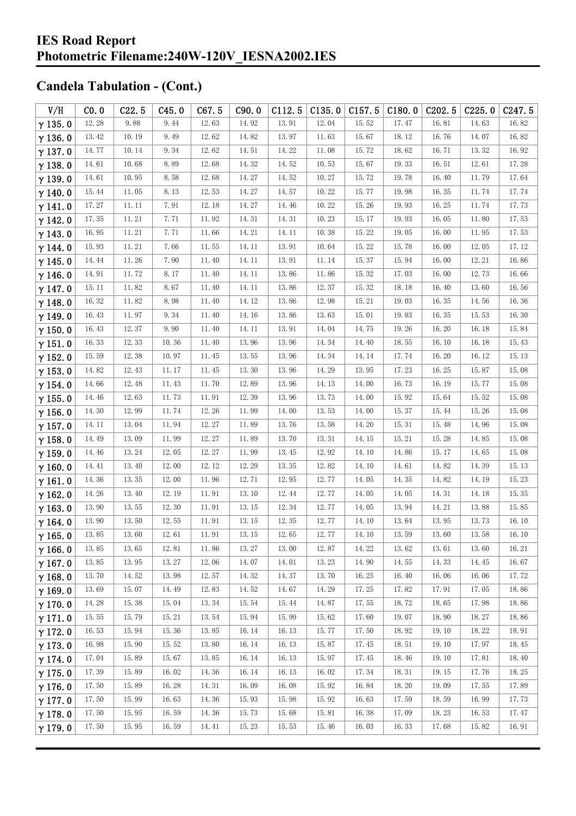| V/H            | CO.0  | C22.5 | C45.0 | C67.5 | C90.0 | C112.5 | C135.0 | C157.5 | C180.0 | C <sub>2</sub> 02.5 | C225.0 | C <sub>247.5</sub> |
|----------------|-------|-------|-------|-------|-------|--------|--------|--------|--------|---------------------|--------|--------------------|
| $\gamma$ 135.0 | 12.28 | 9.88  | 9.44  | 12.63 | 14.92 | 13.91  | 12.04  | 15.52  | 17.47  | 16.81               | 14.63  | 16.82              |
| $\gamma$ 136.0 | 13.42 | 10.19 | 9.49  | 12.62 | 14.82 | 13.97  | 11.63  | 15.67  | 18.12  | 16.76               | 14.07  | 16.82              |
| $\gamma$ 137.0 | 14.77 | 10.14 | 9.34  | 12.62 | 14.51 | 14.22  | 11.08  | 15.72  | 18.62  | 16.71               | 13.32  | 16.92              |
| $\gamma$ 138.0 | 14.61 | 10.68 | 8.89  | 12.68 | 14.32 | 14.52  | 10.53  | 15.67  | 19.33  | 16.51               | 12.61  | 17.28              |
| $\gamma$ 139.0 | 14.61 | 10.95 | 8.58  | 12.68 | 14.27 | 14.52  | 10.27  | 15.72  | 19.78  | 16.40               | 11.79  | 17.64              |
| $\gamma$ 140.0 | 15.44 | 11.05 | 8.13  | 12.53 | 14.27 | 14.57  | 10.22  | 15.77  | 19.98  | 16.35               | 11.74  | 17.74              |
| $\gamma$ 141.0 | 17.27 | 11.11 | 7.91  | 12.18 | 14.27 | 14.46  | 10.22  | 15.26  | 19.93  | 16.25               | 11.74  | 17.73              |
| $\gamma$ 142.0 | 17.35 | 11.21 | 7.71  | 11.92 | 14.31 | 14.31  | 10.23  | 15.17  | 19.93  | 16.05               | 11.80  | 17.53              |
| $\gamma$ 143.0 | 16.95 | 11.21 | 7.71  | 11.66 | 14.21 | 14.11  | 10.38  | 15.22  | 19.05  | 16.00               | 11.95  | 17.53              |
| $\gamma$ 144.0 | 15.93 | 11.21 | 7.66  | 11.55 | 14.11 | 13.91  | 10.64  | 15.22  | 15.78  | 16.00               | 12.05  | 17.12              |
| $\gamma$ 145.0 | 14.44 | 11.26 | 7.90  | 11.40 | 14.11 | 13.91  | 11.14  | 15.37  | 15.94  | 16.00               | 12.21  | 16.86              |
| $\gamma$ 146.0 | 14.91 | 11.72 | 8.17  | 11.40 | 14.11 | 13.86  | 11.86  | 15.32  | 17.03  | 16.00               | 12.73  | 16.66              |
| $\gamma$ 147.0 | 15.11 | 11.82 | 8.67  | 11.40 | 14.11 | 13.86  | 12.37  | 15.32  | 18.18  | 16.40               | 13.60  | 16.56              |
| $\gamma$ 148.0 | 16.32 | 11.82 | 8.98  | 11.40 | 14.12 | 13.86  | 12.98  | 15.21  | 19.03  | 16.35               | 14.56  | 16.36              |
| $\gamma$ 149.0 | 16.43 | 11.97 | 9.34  | 11.40 | 14.16 | 13.86  | 13.63  | 15.01  | 19.83  | 16.35               | 15.53  | 16.30              |
| $\gamma$ 150.0 | 16.43 | 12.37 | 9.90  | 11.40 | 14.11 | 13.91  | 14.04  | 14.75  | 19.26  | 16.20               | 16.18  | 15.84              |
| $\gamma$ 151.0 | 16.33 | 12.33 | 10.36 | 11.40 | 13.96 | 13.96  | 14.34  | 14.40  | 18.55  | 16.10               | 16.18  | 15.43              |
| $\gamma$ 152.0 | 15.59 | 12.38 | 10.97 | 11.45 | 13.55 | 13.96  | 14.34  | 14.14  | 17.74  | 16.20               | 16.12  | 15.13              |
| $\gamma$ 153.0 | 14.82 | 12.43 | 11.17 | 11.45 | 13.30 | 13.96  | 14.29  | 13.95  | 17.23  | 16.25               | 15.87  | 15.08              |
| $\gamma$ 154.0 | 14.66 | 12.48 | 11.43 | 11.70 | 12.89 | 13.96  | 14.13  | 14.00  | 16.73  | 16.19               | 15.77  | 15.08              |
| $\gamma$ 155.0 | 14.46 | 12.63 | 11.73 | 11.91 | 12.39 | 13.96  | 13.73  | 14.00  | 15.92  | 15.64               | 15.52  | 15.08              |
| $\gamma$ 156.0 | 14.30 | 12.99 | 11.74 | 12.26 | 11.99 | 14.00  | 13.53  | 14.00  | 15.37  | 15.44               | 15.26  | 15.08              |
| $\gamma$ 157.0 | 14.11 | 13.04 | 11.94 | 12.27 | 11.89 | 13.76  | 13.58  | 14.20  | 15.31  | 15.48               | 14.96  | 15.08              |
| $\gamma$ 158.0 | 14.49 | 13.09 | 11.99 | 12.27 | 11.89 | 13.70  | 13.31  | 14.15  | 15.21  | 15.28               | 14.85  | 15.08              |
| $\gamma$ 159.0 | 14.46 | 13.24 | 12.05 | 12.27 | 11.99 | 13.45  | 12.92  | 14.10  | 14.86  | 15.17               | 14.65  | 15.08              |
| $\gamma$ 160.0 | 14.41 | 13.40 | 12.00 | 12.12 | 12.29 | 13.35  | 12.82  | 14.10  | 14.61  | 14.82               | 14.39  | 15.13              |
| $\gamma$ 161.0 | 14.36 | 13.35 | 12.00 | 11.96 | 12.71 | 12.95  | 12.77  | 14.05  | 14.35  | 14.82               | 14.19  | 15.23              |
| $\gamma$ 162.0 | 14.26 | 13.40 | 12.19 | 11.91 | 13.10 | 12.44  | 12.77  | 14.05  | 14.05  | 14.31               | 14.18  | 15.35              |
| $\gamma$ 163.0 | 13.90 | 13.55 | 12.30 | 11.91 | 13.15 | 12.34  | 12.77  | 14.05  | 13.94  | 14.21               | 13.88  | 15.85              |
| $\gamma$ 164.0 | 13.90 | 13.50 | 12.55 | 11.91 | 13.15 | 12.35  | 12.77  | 14.10  | 13.64  | 13.95               | 13.73  | 16.10              |
| $\gamma$ 165.0 | 13.85 | 13.60 | 12.61 | 11.91 | 13.15 | 12.65  | 12.77  | 14.10  | 13.59  | 13.60               | 13.58  | 16.10              |
| $\gamma$ 166.0 | 13.85 | 13.65 | 12.81 | 11.86 | 13.27 | 13.00  | 12.87  | 14.22  | 13.62  | 13.61               | 13.60  | 16.21              |
| $\gamma$ 167.0 | 13.85 | 13.95 | 13.27 | 12.06 | 14.07 | 14.01  | 13.23  | 14.90  | 14.55  | 14.33               | 14.45  | 16.67              |
| $\gamma$ 168.0 | 13.70 | 14.52 | 13.98 | 12.57 | 14.32 | 14.37  | 13.70  | 16.25  | 16.40  | 16.06               | 16.06  | 17.72              |
| $\gamma$ 169.0 | 13.69 | 15.07 | 14.49 | 12.83 | 14.52 | 14.67  | 14.29  | 17.25  | 17.82  | 17.91               | 17.05  | 18.86              |
| $\gamma$ 170.0 | 14.28 | 15.38 | 15.04 | 13.34 | 15.54 | 15.44  | 14.87  | 17.55  | 18.72  | 18.65               | 17.98  | 18.86              |
| $\gamma$ 171.0 | 15.55 | 15.79 | 15.21 | 13.54 | 15.94 | 15.99  | 15.62  | 17.60  | 19.07  | 18.90               | 18.27  | 18.86              |
| $\gamma$ 172.0 | 16.53 | 15.94 | 15.36 | 13.85 | 16.14 | 16.13  | 15.77  | 17.50  | 18.92  | 19.10               | 18.22  | 18.91              |
| $\gamma$ 173.0 | 16.98 | 15.90 | 15.52 | 13.80 | 16.14 | 16.13  | 15.87  | 17.45  | 18.51  | 19.10               | 17.97  | 18.45              |
| $\gamma$ 174.0 | 17.04 | 15.89 | 15.67 | 13.85 | 16.14 | 16.13  | 15.97  | 17.45  | 18.46  | 19.10               | 17.81  | 18.40              |
| $\gamma$ 175.0 | 17.39 | 15.89 | 16.02 | 14.36 | 16.14 | 16.13  | 16.02  | 17.34  | 18.31  | 19.15               | 17.76  | 18.25              |
| $\gamma$ 176.0 | 17.50 | 15.89 | 16.28 | 14.31 | 16.09 | 16.08  | 15.92  | 16.84  | 18.20  | 19.09               | 17.55  | 17.89              |
| $\gamma$ 177.0 | 17.50 | 15.99 | 16.63 | 14.36 | 15.93 | 15.98  | 15.92  | 16.63  | 17.59  | 18.59               | 16.99  | 17.73              |
| $\gamma$ 178.0 | 17.50 | 15.95 | 16.59 | 14.36 | 15.73 | 15.68  | 15.81  | 16.38  | 17.09  | 18.23               | 16.53  | 17.47              |
| $\gamma$ 179.0 | 17.50 | 15.95 | 16.59 | 14.41 | 15.23 | 15.53  | 15.46  | 16.03  | 16.33  | 17.68               | 15.82  | 16.91              |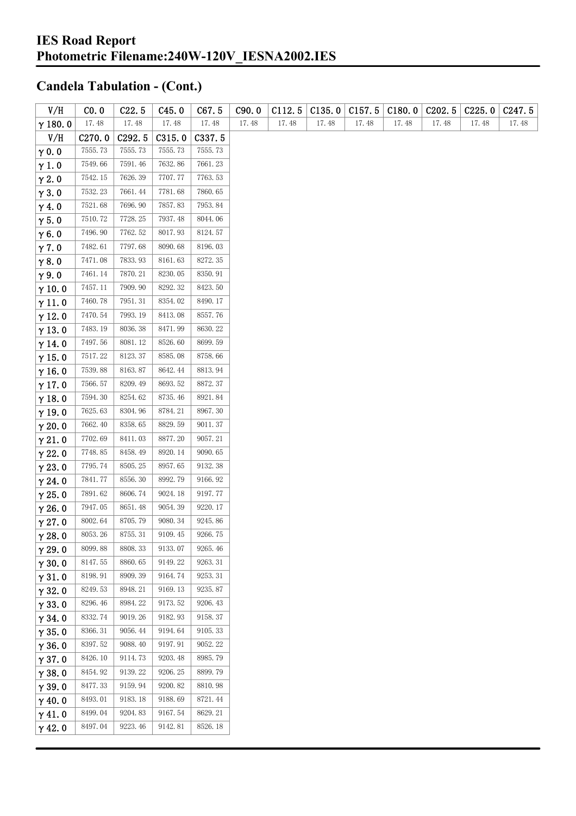| V/H            | CO. 0   | C22.5   | C45.0   | C67.5   | C90.0 | C112.5 | C135.0 | C157.5 | C180.0 | C202.5 | C225.0 | C <sub>247.5</sub> |
|----------------|---------|---------|---------|---------|-------|--------|--------|--------|--------|--------|--------|--------------------|
| $\gamma$ 180.0 | 17.48   | 17.48   | 17.48   | 17.48   | 17.48 | 17.48  | 17.48  | 17.48  | 17.48  | 17.48  | 17.48  | 17.48              |
| V/H            | C270.0  | C292.5  | C315.0  | C337.5  |       |        |        |        |        |        |        |                    |
| $\gamma$ 0.0   | 7555.73 | 7555.73 | 7555.73 | 7555.73 |       |        |        |        |        |        |        |                    |
| $\gamma$ 1.0   | 7549.66 | 7591.46 | 7632.86 | 7661.23 |       |        |        |        |        |        |        |                    |
| $\gamma$ 2.0   | 7542.15 | 7626.39 | 7707.77 | 7763.53 |       |        |        |        |        |        |        |                    |
| $\gamma$ 3.0   | 7532.23 | 7661.44 | 7781.68 | 7860.65 |       |        |        |        |        |        |        |                    |
| $\gamma$ 4.0   | 7521.68 | 7696.90 | 7857.83 | 7953.84 |       |        |        |        |        |        |        |                    |
| $\gamma$ 5.0   | 7510.72 | 7728.25 | 7937.48 | 8044.06 |       |        |        |        |        |        |        |                    |
| $\gamma$ 6.0   | 7496.90 | 7762.52 | 8017.93 | 8124.57 |       |        |        |        |        |        |        |                    |
| $\gamma$ 7.0   | 7482.61 | 7797.68 | 8090.68 | 8196.03 |       |        |        |        |        |        |        |                    |
| $\gamma$ 8.0   | 7471.08 | 7833.93 | 8161.63 | 8272.35 |       |        |        |        |        |        |        |                    |
| $\gamma$ 9.0   | 7461.14 | 7870.21 | 8230.05 | 8350.91 |       |        |        |        |        |        |        |                    |
| $\gamma$ 10.0  | 7457.11 | 7909.90 | 8292.32 | 8423.50 |       |        |        |        |        |        |        |                    |
| $\gamma$ 11.0  | 7460.78 | 7951.31 | 8354.02 | 8490.17 |       |        |        |        |        |        |        |                    |
| $\gamma$ 12.0  | 7470.54 | 7993.19 | 8413.08 | 8557.76 |       |        |        |        |        |        |        |                    |
| $\gamma$ 13.0  | 7483.19 | 8036.38 | 8471.99 | 8630.22 |       |        |        |        |        |        |        |                    |
| $\gamma$ 14.0  | 7497.56 | 8081.12 | 8526.60 | 8699.59 |       |        |        |        |        |        |        |                    |
| $\gamma$ 15.0  | 7517.22 | 8123.37 | 8585.08 | 8758.66 |       |        |        |        |        |        |        |                    |
| $\gamma$ 16.0  | 7539.88 | 8163.87 | 8642.44 | 8813.94 |       |        |        |        |        |        |        |                    |
| $\gamma$ 17.0  | 7566.57 | 8209.49 | 8693.52 | 8872.37 |       |        |        |        |        |        |        |                    |
| $\gamma$ 18.0  | 7594.30 | 8254.62 | 8735.46 | 8921.84 |       |        |        |        |        |        |        |                    |
| $\gamma$ 19.0  | 7625.63 | 8304.96 | 8784.21 | 8967.30 |       |        |        |        |        |        |        |                    |
| $\gamma$ 20.0  | 7662.40 | 8358.65 | 8829.59 | 9011.37 |       |        |        |        |        |        |        |                    |
| $\gamma$ 21.0  | 7702.69 | 8411.03 | 8877.20 | 9057.21 |       |        |        |        |        |        |        |                    |
| $\gamma$ 22.0  | 7748.85 | 8458.49 | 8920.14 | 9090.65 |       |        |        |        |        |        |        |                    |
| $\gamma$ 23.0  | 7795.74 | 8505.25 | 8957.65 | 9132.38 |       |        |        |        |        |        |        |                    |
| $\gamma$ 24.0  | 7841.77 | 8556.30 | 8992.79 | 9166.92 |       |        |        |        |        |        |        |                    |
| $\gamma$ 25.0  | 7891.62 | 8606.74 | 9024.18 | 9197.77 |       |        |        |        |        |        |        |                    |
| $\gamma$ 26.0  | 7947.05 | 8651.48 | 9054.39 | 9220.17 |       |        |        |        |        |        |        |                    |
| $\gamma$ 27.0  | 8002.64 | 8705.79 | 9080.34 | 9245.86 |       |        |        |        |        |        |        |                    |
| $\gamma$ 28.0  | 8053.26 | 8755.31 | 9109.45 | 9266.75 |       |        |        |        |        |        |        |                    |
| $\gamma$ 29.0  | 8099.88 | 8808.33 | 9133.07 | 9265.46 |       |        |        |        |        |        |        |                    |
| $\gamma$ 30.0  | 8147.55 | 8860.65 | 9149.22 | 9263.31 |       |        |        |        |        |        |        |                    |
| $\gamma$ 31.0  | 8198.91 | 8909.39 | 9164.74 | 9253.31 |       |        |        |        |        |        |        |                    |
| $\gamma$ 32.0  | 8249.53 | 8948.21 | 9169.13 | 9235.87 |       |        |        |        |        |        |        |                    |
| $\gamma$ 33.0  | 8296.46 | 8984.22 | 9173.52 | 9206.43 |       |        |        |        |        |        |        |                    |
| $\gamma$ 34.0  | 8332.74 | 9019.26 | 9182.93 | 9158.37 |       |        |        |        |        |        |        |                    |
| $\gamma$ 35.0  | 8366.31 | 9056.44 | 9194.64 | 9105.33 |       |        |        |        |        |        |        |                    |
| $\gamma$ 36.0  | 8397.52 | 9088.40 | 9197.91 | 9052.22 |       |        |        |        |        |        |        |                    |
| $\gamma$ 37.0  | 8426.10 | 9114.73 | 9203.48 | 8985.79 |       |        |        |        |        |        |        |                    |
| $\gamma$ 38.0  | 8454.92 | 9139.22 | 9206.25 | 8899.79 |       |        |        |        |        |        |        |                    |
| $\gamma$ 39.0  | 8477.33 | 9159.94 | 9200.82 | 8810.98 |       |        |        |        |        |        |        |                    |
| $\gamma$ 40.0  | 8493.01 | 9183.18 | 9188.69 | 8721.44 |       |        |        |        |        |        |        |                    |
| $\gamma$ 41.0  | 8499.04 | 9204.83 | 9167.54 | 8629.21 |       |        |        |        |        |        |        |                    |
| $\gamma$ 42.0  | 8497.04 | 9223.46 | 9142.81 | 8526.18 |       |        |        |        |        |        |        |                    |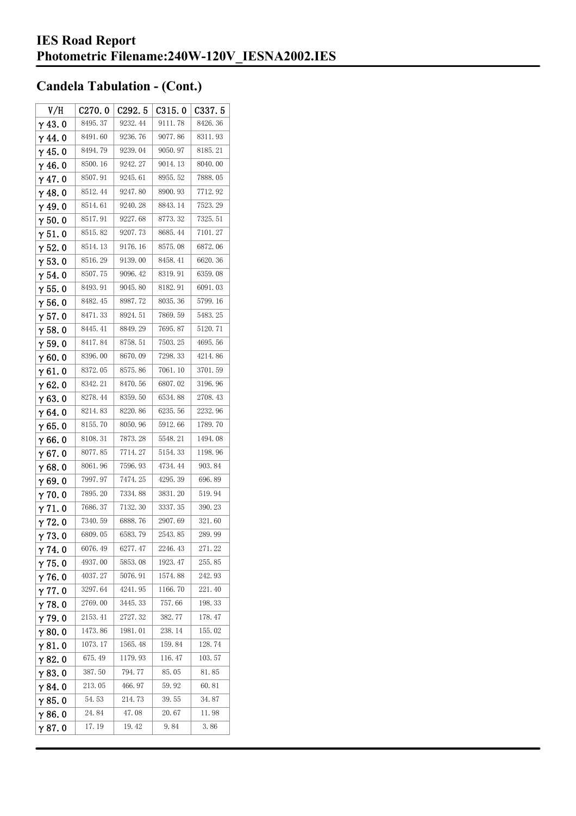| V/H            | C270.0  | C292.5  | C315.0  | C337.5  |
|----------------|---------|---------|---------|---------|
| $\gamma$ 43.0  | 8495.37 | 9232.44 | 9111.78 | 8426.36 |
| $\gamma$ 44.0  | 8491.60 | 9236.76 | 9077.86 | 8311.93 |
| $\gamma$ 45. 0 | 8494.79 | 9239.04 | 9050.97 | 8185.21 |
| $\gamma$ 46.0  | 8500.16 | 9242.27 | 9014.13 | 8040.00 |
| $\gamma$ 47.0  | 8507.91 | 9245.61 | 8955.52 | 7888.05 |
| $\gamma$ 48.0  | 8512.44 | 9247.80 | 8900.93 | 7712.92 |
| γ49.0          | 8514.61 | 9240.28 | 8843.14 | 7523.29 |
| $\gamma$ 50.0  | 8517.91 | 9227.68 | 8773.32 | 7325.51 |
| $\gamma$ 51. 0 | 8515.82 | 9207.73 | 8685.44 | 7101.27 |
| $\gamma$ 52.0  | 8514.13 | 9176.16 | 8575.08 | 6872.06 |
| $\gamma$ 53.0  | 8516.29 | 9139.00 | 8458.41 | 6620.36 |
| $\gamma$ 54. 0 | 8507.75 | 9096.42 | 8319.91 | 6359.08 |
| $\gamma$ 55.0  | 8493.91 | 9045.80 | 8182.91 | 6091.03 |
| γ56.0          | 8482.45 | 8987.72 | 8035.36 | 5799.16 |
| $\gamma$ 57.0  | 8471.33 | 8924.51 | 7869.59 | 5483.25 |
| $\gamma$ 58.0  | 8445.41 | 8849.29 | 7695.87 | 5120.71 |
| $\gamma$ 59.0  | 8417.84 | 8758.51 | 7503.25 | 4695.56 |
| $\gamma$ 60.0  | 8396.00 | 8670.09 | 7298.33 | 4214.86 |
| $\gamma$ 61.0  | 8372.05 | 8575.86 | 7061.10 | 3701.59 |
| $\gamma$ 62.0  | 8342.21 | 8470.56 | 6807.02 | 3196.96 |
| $\gamma$ 63.0  | 8278.44 | 8359.50 | 6534.88 | 2708.43 |
| γ64.0          | 8214.83 | 8220.86 | 6235.56 | 2232.96 |
| γ65.0          | 8155.70 | 8050.96 | 5912.66 | 1789.70 |
| γ66.0          | 8108.31 | 7873.28 | 5548.21 | 1494.08 |
| $\gamma$ 67.0  | 8077.85 | 7714.27 | 5154.33 | 1198.96 |
| $\gamma$ 68.0  | 8061.96 | 7596.93 | 4734.44 | 903.84  |
| $\gamma$ 69.0  | 7997.97 | 7474.25 | 4295.39 | 696.89  |
| $\gamma$ 70.0  | 7895.20 | 7334.88 | 3831.20 | 519.94  |
| $\gamma$ 71.0  | 7686.37 | 7132.30 | 3337.35 | 390.23  |
| $\gamma$ 72.0  | 7340.59 | 6888.76 | 2907.69 | 321.60  |
| $\gamma$ 73.0  | 6809.05 | 6583.79 | 2543.85 | 289.99  |
| $\gamma$ 74.0  | 6076.49 | 6277.47 | 2246.43 | 271.22  |
| $\gamma$ 75.0  | 4937.00 | 5853.08 | 1923.47 | 255.85  |
| $\gamma$ 76.0  | 4037.27 | 5076.91 | 1574.88 | 242.93  |
| $\gamma$ 77.0  | 3297.64 | 4241.95 | 1166.70 | 221.40  |
| $\gamma$ 78.0  | 2769.00 | 3445.33 | 757.66  | 198.33  |
| $\gamma$ 79.0  | 2153.41 | 2727.32 | 382.77  | 178.47  |
| $\gamma$ 80.0  | 1473.86 | 1981.01 | 238. 14 | 155.02  |
| $\gamma$ 81.0  | 1073.17 | 1565.48 | 159.84  | 128.74  |
| $\gamma$ 82.0  | 675.49  | 1179.93 | 116.47  | 103.57  |
| $\gamma$ 83.0  | 387.50  | 794.77  | 85.05   | 81.85   |
| $\gamma$ 84.0  | 213.05  | 466.97  | 59.92   | 60.81   |
| $\gamma$ 85.0  | 54.53   | 214.73  | 39.55   | 34.87   |
| $\gamma$ 86.0  | 24.84   | 47.08   | 20.67   | 11.98   |
| γ87.0          | 17.19   | 19.42   | 9.84    | 3.86    |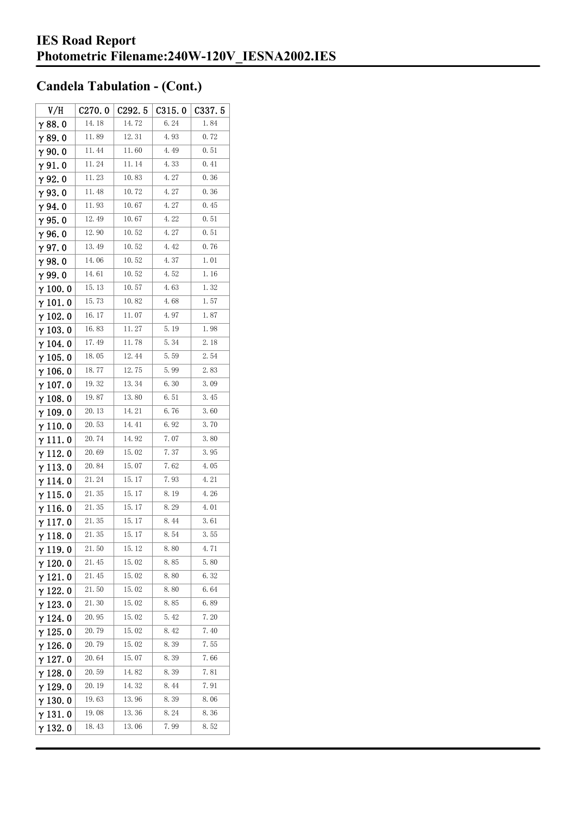| V/H             | C270.0 | C292.5 | C315.0 | C337.5 |
|-----------------|--------|--------|--------|--------|
| $\gamma$ 88. 0  | 14.18  | 14.72  | 6.24   | 1.84   |
| γ89.0           | 11.89  | 12.31  | 4.93   | 0.72   |
| $\gamma$ 90.0   | 11.44  | 11.60  | 4.49   | 0.51   |
| $\gamma$ 91. 0  | 11.24  | 11.14  | 4.33   | 0.41   |
| γ92.0           | 11.23  | 10.83  | 4.27   | 0.36   |
| $\gamma$ 93.0   | 11.48  | 10.72  | 4.27   | 0.36   |
| $\gamma$ 94.0   | 11.93  | 10.67  | 4.27   | 0.45   |
| $\gamma$ 95.0   | 12.49  | 10.67  | 4.22   | 0.51   |
| γ96.0           | 12.90  | 10.52  | 4.27   | 0.51   |
| $\gamma$ 97.0   | 13.49  | 10.52  | 4.42   | 0.76   |
| $\gamma$ 98.0   | 14.06  | 10.52  | 4.37   | 1.01   |
| γ99.0           | 14.61  | 10.52  | 4.52   | 1.16   |
| $\gamma$ 100. 0 | 15.13  | 10.57  | 4.63   | 1.32   |
| $\gamma$ 101.0  | 15.73  | 10.82  | 4.68   | 1.57   |
| $\gamma$ 102.0  | 16.17  | 11.07  | 4.97   | 1.87   |
| $\gamma$ 103. 0 | 16.83  | 11.27  | 5.19   | 1.98   |
| $\gamma$ 104.0  | 17.49  | 11.78  | 5.34   | 2.18   |
| $\gamma$ 105. 0 | 18.05  | 12.44  | 5.59   | 2.54   |
| $\gamma$ 106. 0 | 18.77  | 12.75  | 5.99   | 2.83   |
| $\gamma$ 107. 0 | 19.32  | 13.34  | 6.30   | 3.09   |
| $\gamma$ 108.0  | 19.87  | 13.80  | 6.51   | 3.45   |
| $\gamma$ 109.0  | 20.13  | 14.21  | 6.76   | 3.60   |
| $\gamma$ 110. 0 | 20.53  | 14.41  | 6.92   | 3.70   |
| γ111.0          | 20.74  | 14.92  | 7.07   | 3.80   |
| $\gamma$ 112. 0 | 20.69  | 15.02  | 7.37   | 3.95   |
| $\gamma$ 113.0  | 20.84  | 15.07  | 7.62   | 4.05   |
| γ 114. 0        | 21. 24 | 15.17  | 7.93   | 4.21   |
| $\gamma$ 115.0  | 21.35  | 15.17  | 8.19   | 4.26   |
| $\gamma$ 116. 0 | 21.35  | 15.17  | 8.29   | 4.01   |
| γ117.0          | 21.35  | 15.17  | 8.44   | 3.61   |
| $\gamma$ 118. 0 | 21.35  | 15. 17 | 8.54   | 3.55   |
| $\gamma$ 119.0  | 21.50  | 15.12  | 8.80   | 4.71   |
| $\gamma$ 120.0  | 21.45  | 15.02  | 8.85   | 5.80   |
| $\gamma$ 121.0  | 21.45  | 15.02  | 8.80   | 6.32   |
| $\gamma$ 122.0  | 21.50  | 15.02  | 8.80   | 6.64   |
| $\gamma$ 123.0  | 21.30  | 15.02  | 8.85   | 6.89   |
| γ 124. 0        | 20.95  | 15.02  | 5.42   | 7.20   |
| $\gamma$ 125. 0 | 20.79  | 15.02  | 8.42   | 7.40   |
| $\gamma$ 126. 0 | 20.79  | 15.02  | 8.39   | 7.55   |
| $\gamma$ 127.0  | 20.64  | 15.07  | 8.39   | 7.66   |
| $\gamma$ 128. 0 | 20.59  | 14.82  | 8.39   | 7.81   |
| γ 129. 0        | 20.19  | 14.32  | 8.44   | 7.91   |
| $\gamma$ 130. 0 | 19.63  | 13.96  | 8.39   | 8.06   |
| γ131.0          | 19.08  | 13.36  | 8.24   | 8.36   |
| $\gamma$ 132. 0 | 18.43  | 13.06  | 7.99   | 8.52   |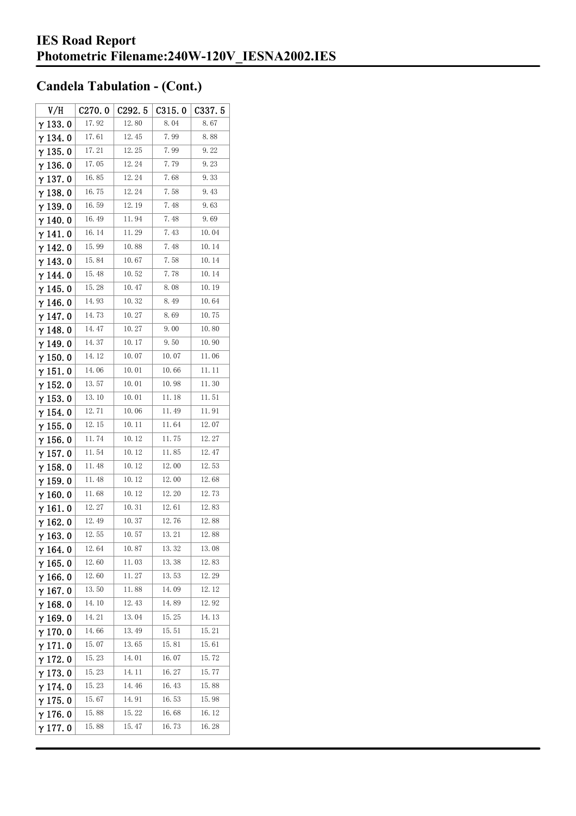| V/H             | C270.0 | C292.5 | C315.0 | C <sub>3</sub> 37.5 |
|-----------------|--------|--------|--------|---------------------|
| $\gamma$ 133. 0 | 17.92  | 12.80  | 8.04   | 8.67                |
| $\gamma$ 134.0  | 17.61  | 12.45  | 7.99   | 8.88                |
| $\gamma$ 135.0  | 17.21  | 12.25  | 7.99   | 9.22                |
| γ136.0          | 17.05  | 12.24  | 7.79   | 9.23                |
| $\gamma$ 137. 0 | 16.85  | 12.24  | 7.68   | 9.33                |
| $\gamma$ 138. 0 | 16.75  | 12.24  | 7.58   | 9.43                |
| $\gamma$ 139.0  | 16.59  | 12.19  | 7.48   | 9.63                |
| γ 140. 0        | 16.49  | 11.94  | 7.48   | 9.69                |
| $\gamma$ 141. 0 | 16.14  | 11.29  | 7.43   | 10.04               |
| γ142.0          | 15.99  | 10.88  | 7.48   | 10.14               |
| $\gamma$ 143.0  | 15.84  | 10.67  | 7.58   | 10.14               |
| γ 144. 0        | 15.48  | 10.52  | 7.78   | 10.14               |
| $\gamma$ 145. 0 | 15.28  | 10.47  | 8.08   | 10.19               |
| γ146.0          | 14.93  | 10.32  | 8.49   | 10.64               |
| γ 147. 0        | 14.73  | 10.27  | 8.69   | 10.75               |
| γ148.0          | 14.47  | 10.27  | 9.00   | 10.80               |
| $\gamma$ 149.0  | 14.37  | 10.17  | 9.50   | 10.90               |
| $\gamma$ 150.0  | 14.12  | 10.07  | 10.07  | 11.06               |
| γ151.0          | 14.06  | 10.01  | 10.66  | 11. 11              |
| $\gamma$ 152.0  | 13.57  | 10.01  | 10.98  | 11.30               |
| $\gamma$ 153. 0 | 13.10  | 10.01  | 11.18  | 11.51               |
| $\gamma$ 154. 0 | 12.71  | 10.06  | 11.49  | 11.91               |
| $\gamma$ 155. 0 | 12.15  | 10.11  | 11.64  | 12.07               |
| γ 156. 0        | 11.74  | 10.12  | 11.75  | 12.27               |
| $\gamma$ 157. 0 | 11.54  | 10.12  | 11.85  | 12.47               |
| $\gamma$ 158. 0 | 11.48  | 10.12  | 12.00  | 12.53               |
| $\gamma$ 159. 0 | 11.48  | 10.12  | 12.00  | 12.68               |
| $\gamma$ 160.0  | 11.68  | 10.12  | 12.20  | 12.73               |
| $\gamma$ 161. 0 | 12.27  | 10.31  | 12.61  | 12.83               |
| γ 162. 0        | 12.49  | 10.37  | 12.76  | 12.88               |
| $\gamma$ 163. 0 | 12.55  | 10.57  | 13. 21 | 12.88               |
| $\gamma$ 164. 0 | 12.64  | 10.87  | 13.32  | 13.08               |
| $\gamma$ 165. 0 | 12.60  | 11.03  | 13.38  | 12.83               |
| $\gamma$ 166. 0 | 12.60  | 11.27  | 13.53  | 12.29               |
| $\gamma$ 167.0  | 13.50  | 11.88  | 14.09  | 12.12               |
| $\gamma$ 168.0  | 14.10  | 12.43  | 14.89  | 12.92               |
| $\gamma$ 169.0  | 14.21  | 13.04  | 15.25  | 14.13               |
| $\gamma$ 170.0  | 14.66  | 13.49  | 15.51  | 15.21               |
| $\gamma$ 171.0  | 15.07  | 13.65  | 15.81  | 15.61               |
| $\gamma$ 172.0  | 15.23  | 14.01  | 16.07  | 15.72               |
| $\gamma$ 173. 0 | 15.23  | 14.11  | 16.27  | 15.77               |
| γ 174. 0        | 15.23  | 14.46  | 16.43  | 15.88               |
| $\gamma$ 175.0  | 15.67  | 14.91  | 16.53  | 15.98               |
| $\gamma$ 176.0  | 15.88  | 15.22  | 16.68  | 16.12               |
| $\gamma$ 177. 0 | 15.88  | 15.47  | 16.73  | 16.28               |